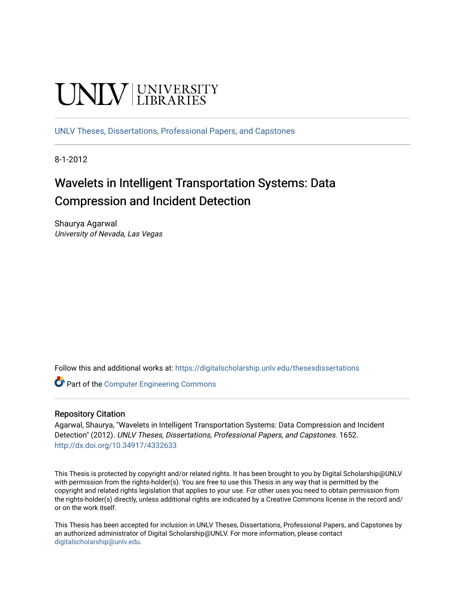# **UNIVERSITY**

[UNLV Theses, Dissertations, Professional Papers, and Capstones](https://digitalscholarship.unlv.edu/thesesdissertations)

8-1-2012

# Wavelets in Intelligent Transportation Systems: Data Compression and Incident Detection

Shaurya Agarwal University of Nevada, Las Vegas

Follow this and additional works at: [https://digitalscholarship.unlv.edu/thesesdissertations](https://digitalscholarship.unlv.edu/thesesdissertations?utm_source=digitalscholarship.unlv.edu%2Fthesesdissertations%2F1652&utm_medium=PDF&utm_campaign=PDFCoverPages)

Part of the [Computer Engineering Commons](http://network.bepress.com/hgg/discipline/258?utm_source=digitalscholarship.unlv.edu%2Fthesesdissertations%2F1652&utm_medium=PDF&utm_campaign=PDFCoverPages) 

#### Repository Citation

Agarwal, Shaurya, "Wavelets in Intelligent Transportation Systems: Data Compression and Incident Detection" (2012). UNLV Theses, Dissertations, Professional Papers, and Capstones. 1652. <http://dx.doi.org/10.34917/4332633>

This Thesis is protected by copyright and/or related rights. It has been brought to you by Digital Scholarship@UNLV with permission from the rights-holder(s). You are free to use this Thesis in any way that is permitted by the copyright and related rights legislation that applies to your use. For other uses you need to obtain permission from the rights-holder(s) directly, unless additional rights are indicated by a Creative Commons license in the record and/ or on the work itself.

This Thesis has been accepted for inclusion in UNLV Theses, Dissertations, Professional Papers, and Capstones by an authorized administrator of Digital Scholarship@UNLV. For more information, please contact [digitalscholarship@unlv.edu](mailto:digitalscholarship@unlv.edu).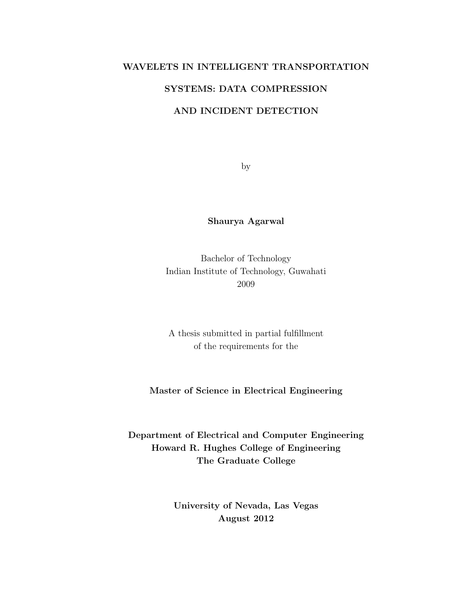### WAVELETS IN INTELLIGENT TRANSPORTATION

## SYSTEMS: DATA COMPRESSION

## AND INCIDENT DETECTION

by

## Shaurya Agarwal

Bachelor of Technology Indian Institute of Technology, Guwahati 2009

A thesis submitted in partial fulfillment of the requirements for the

## Master of Science in Electrical Engineering

Department of Electrical and Computer Engineering Howard R. Hughes College of Engineering The Graduate College

> University of Nevada, Las Vegas August 2012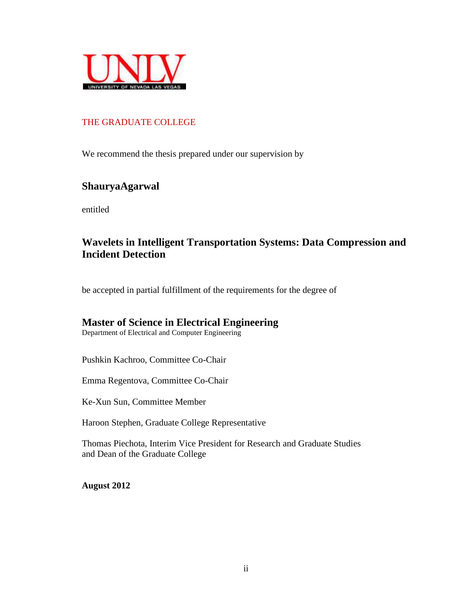

# THE GRADUATE COLLEGE

We recommend the thesis prepared under our supervision by

# **ShauryaAgarwal**

entitled

# **Wavelets in Intelligent Transportation Systems: Data Compression and Incident Detection**

be accepted in partial fulfillment of the requirements for the degree of

# **Master of Science in Electrical Engineering**

Department of Electrical and Computer Engineering

Pushkin Kachroo, Committee Co-Chair

Emma Regentova, Committee Co-Chair

Ke-Xun Sun, Committee Member

Haroon Stephen, Graduate College Representative

Thomas Piechota, Interim Vice President for Research and Graduate Studies and Dean of the Graduate College

**August 2012**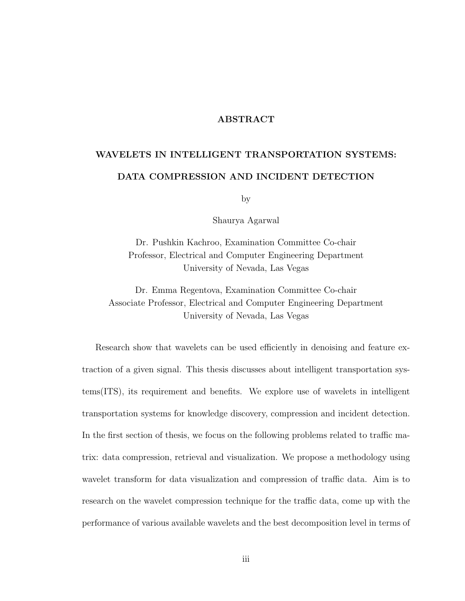#### ABSTRACT

# <span id="page-3-0"></span>WAVELETS IN INTELLIGENT TRANSPORTATION SYSTEMS: DATA COMPRESSION AND INCIDENT DETECTION

by

Shaurya Agarwal

Dr. Pushkin Kachroo, Examination Committee Co-chair Professor, Electrical and Computer Engineering Department University of Nevada, Las Vegas

Dr. Emma Regentova, Examination Committee Co-chair Associate Professor, Electrical and Computer Engineering Department University of Nevada, Las Vegas

Research show that wavelets can be used efficiently in denoising and feature extraction of a given signal. This thesis discusses about intelligent transportation systems(ITS), its requirement and benefits. We explore use of wavelets in intelligent transportation systems for knowledge discovery, compression and incident detection. In the first section of thesis, we focus on the following problems related to traffic matrix: data compression, retrieval and visualization. We propose a methodology using wavelet transform for data visualization and compression of traffic data. Aim is to research on the wavelet compression technique for the traffic data, come up with the performance of various available wavelets and the best decomposition level in terms of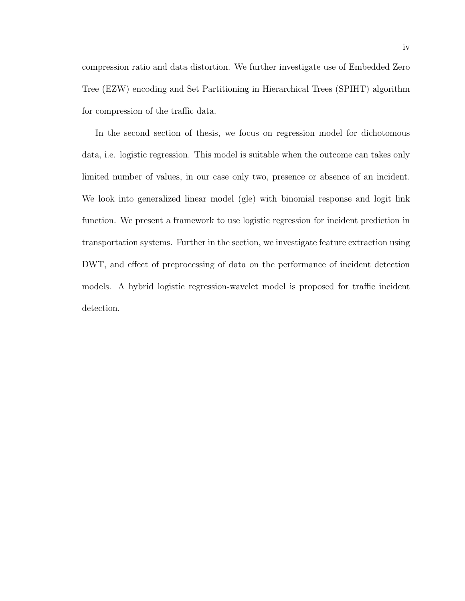compression ratio and data distortion. We further investigate use of Embedded Zero Tree (EZW) encoding and Set Partitioning in Hierarchical Trees (SPIHT) algorithm for compression of the traffic data.

In the second section of thesis, we focus on regression model for dichotomous data, i.e. logistic regression. This model is suitable when the outcome can takes only limited number of values, in our case only two, presence or absence of an incident. We look into generalized linear model (gle) with binomial response and logit link function. We present a framework to use logistic regression for incident prediction in transportation systems. Further in the section, we investigate feature extraction using DWT, and effect of preprocessing of data on the performance of incident detection models. A hybrid logistic regression-wavelet model is proposed for traffic incident detection.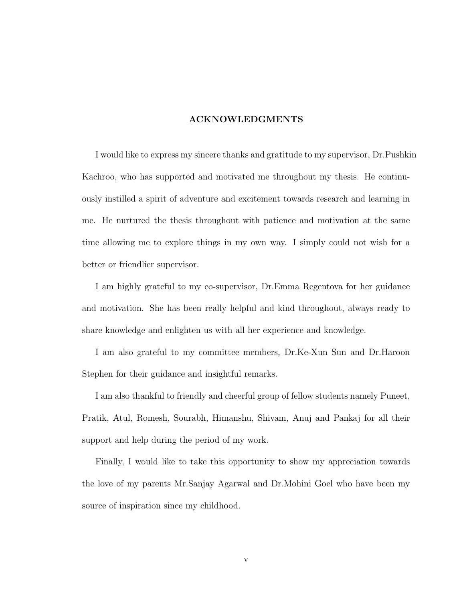#### ACKNOWLEDGMENTS

<span id="page-5-0"></span>I would like to express my sincere thanks and gratitude to my supervisor, Dr.Pushkin Kachroo, who has supported and motivated me throughout my thesis. He continuously instilled a spirit of adventure and excitement towards research and learning in me. He nurtured the thesis throughout with patience and motivation at the same time allowing me to explore things in my own way. I simply could not wish for a better or friendlier supervisor.

I am highly grateful to my co-supervisor, Dr.Emma Regentova for her guidance and motivation. She has been really helpful and kind throughout, always ready to share knowledge and enlighten us with all her experience and knowledge.

I am also grateful to my committee members, Dr.Ke-Xun Sun and Dr.Haroon Stephen for their guidance and insightful remarks.

I am also thankful to friendly and cheerful group of fellow students namely Puneet, Pratik, Atul, Romesh, Sourabh, Himanshu, Shivam, Anuj and Pankaj for all their support and help during the period of my work.

Finally, I would like to take this opportunity to show my appreciation towards the love of my parents Mr.Sanjay Agarwal and Dr.Mohini Goel who have been my source of inspiration since my childhood.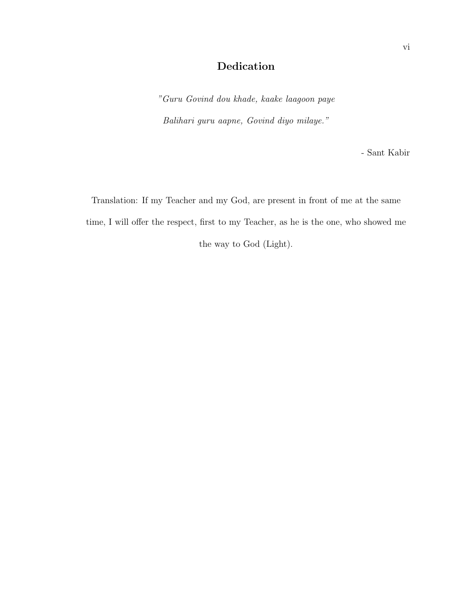# Dedication

"Guru Govind dou khade, kaake laagoon paye Balihari guru aapne, Govind diyo milaye."

- Sant Kabir

Translation: If my Teacher and my God, are present in front of me at the same time, I will offer the respect, first to my Teacher, as he is the one, who showed me the way to God (Light).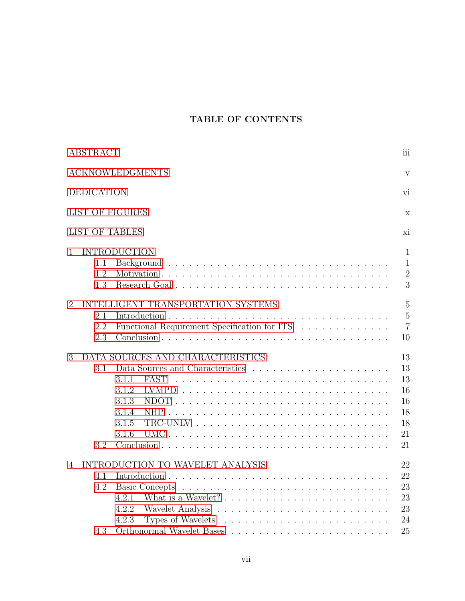# TABLE OF CONTENTS

| <b>ABSTRACT</b>                                                                                                           | iii                                                      |  |  |
|---------------------------------------------------------------------------------------------------------------------------|----------------------------------------------------------|--|--|
| <b>ACKNOWLEDGMENTS</b><br>V                                                                                               |                                                          |  |  |
| <b>DEDICATION</b><br>vi                                                                                                   |                                                          |  |  |
| <b>LIST OF FIGURES</b>                                                                                                    | X                                                        |  |  |
| <b>LIST OF TABLES</b>                                                                                                     | хi                                                       |  |  |
| <b>INTRODUCTION</b><br>$\mathbf{1}$<br>1.1<br>1.2<br>Research Goal<br>1.3                                                 | $\mathbf{1}$<br>$\mathbf{1}$<br>$\overline{2}$<br>3      |  |  |
| INTELLIGENT TRANSPORTATION SYSTEMS<br>$\overline{2}$<br>2.1<br>Functional Requirement Specification for ITS<br>2.2<br>2.3 | $\overline{5}$<br>$\overline{5}$<br>$\overline{7}$<br>10 |  |  |
| DATA SOURCES AND CHARACTERISTICS<br>3<br>3.1<br><b>FAST</b><br>3.1.1<br>3.1.2<br>3.1.3<br>3.1.4<br>3.1.5<br>3.1.6<br>3.2  | 13<br>13<br>13<br>16<br>16<br>18<br>18<br>21<br>21       |  |  |
| INTRODUCTION TO WAVELET ANALYSIS<br>4<br>4.1<br>4.2<br>4.2.1<br>4.2.2<br>4.2.3<br>4.3                                     | 22<br>22<br>23<br>23<br>23<br>24<br>25                   |  |  |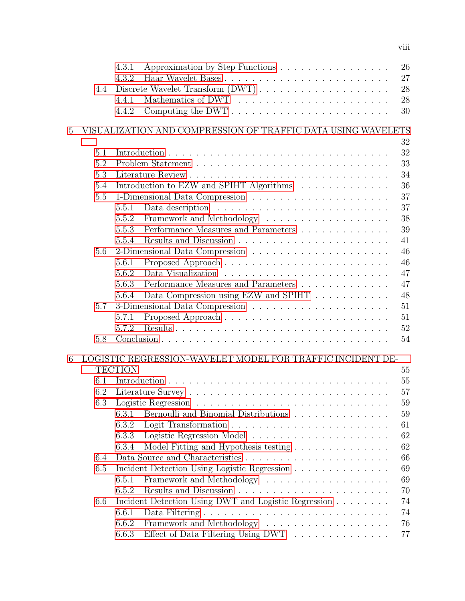|   |     | 4.3.1<br>Approximation by Step Functions<br>4.3.2                                | 26<br>27 |
|---|-----|----------------------------------------------------------------------------------|----------|
|   | 4.4 |                                                                                  | 28       |
|   |     | 4.4.1                                                                            | 28       |
|   |     | 4.4.2                                                                            | 30       |
|   |     |                                                                                  |          |
| 5 |     | VISUALIZATION AND COMPRESSION OF TRAFFIC DATA USING WAVELETS                     | 32       |
|   | 5.1 |                                                                                  | 32       |
|   | 5.2 |                                                                                  | 33       |
|   | 5.3 |                                                                                  | 34       |
|   | 5.4 | Introduction to EZW and SPIHT Algorithms                                         | 36       |
|   | 5.5 |                                                                                  | 37       |
|   |     | 5.5.1                                                                            | 37       |
|   |     | 5.5.2                                                                            | 38       |
|   |     | Performance Measures and Parameters<br>5.5.3                                     | 39       |
|   |     | 5.5.4                                                                            | 41       |
|   | 5.6 |                                                                                  | 46       |
|   |     | 5.6.1                                                                            | 46       |
|   |     | 5.6.2                                                                            | 47       |
|   |     | Performance Measures and Parameters<br>5.6.3                                     | 47       |
|   |     | Data Compression using EZW and SPIHT<br>5.6.4                                    | 48       |
|   | 5.7 |                                                                                  | 51       |
|   |     | 5.7.1                                                                            | 51       |
|   |     | 5.7.2                                                                            | 52       |
|   | 5.8 |                                                                                  | 54       |
|   |     |                                                                                  |          |
| 6 |     | LOGISTIC REGRESSION-WAVELET MODEL FOR TRAFFIC INCIDENT DE-                       |          |
|   |     | <b>TECTION</b>                                                                   | 55       |
|   | 6.1 |                                                                                  | 55       |
|   | 6.2 |                                                                                  | 57       |
|   | 6.3 |                                                                                  | 59       |
|   |     | 6.3.1<br>Bernoulli and Binomial Distributions                                    | 59       |
|   |     | 6.3.2                                                                            | 61       |
|   |     | 6.3.3                                                                            | 62       |
|   |     | Model Fitting and Hypothesis testing<br>6.3.4                                    | 62       |
|   | 6.4 |                                                                                  | 66       |
|   | 6.5 | Incident Detection Using Logistic Regression                                     | 69       |
|   |     | 6.5.1                                                                            | 69       |
|   |     | 6.5.2                                                                            | 70       |
|   | 6.6 | Incident Detection Using DWT and Logistic Regression                             | 74       |
|   |     | 6.6.1                                                                            | 74       |
|   |     | 6.6.2                                                                            | 76       |
|   |     | 6.6.3<br>Effect of Data Filtering Using DWT $\ldots \ldots \ldots \ldots \ldots$ | 77       |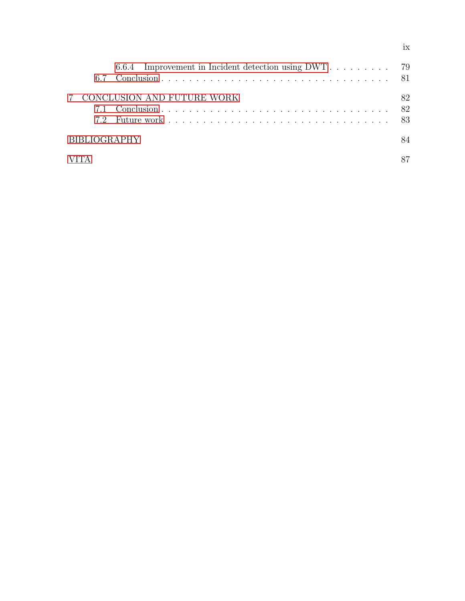| 6.7                 |                            |    |
|---------------------|----------------------------|----|
|                     | CONCLUSION AND FUTURE WORK | 82 |
| <b>BIBLIOGRAPHY</b> |                            | 84 |
|                     |                            |    |

ix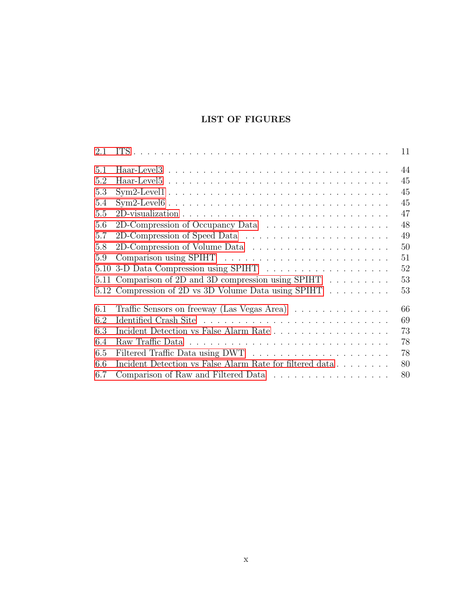# LIST OF FIGURES

<span id="page-10-0"></span>

| 2.1 | 11                                                             |
|-----|----------------------------------------------------------------|
| 5.1 | 44                                                             |
| 5.2 | 45                                                             |
| 5.3 | 45                                                             |
| 5.4 | 45                                                             |
| 5.5 | 47                                                             |
| 5.6 | 48                                                             |
| 5.7 | 49                                                             |
| 5.8 | 50                                                             |
| 5.9 | 51                                                             |
|     | 52                                                             |
|     | 5.11 Comparison of 2D and 3D compression using SPIHT<br>53     |
|     | 5.12 Compression of 2D vs 3D Volume Data using SPIHT<br>53     |
| 6.1 | 66<br>Traffic Sensors on freeway (Las Vegas Area)              |
| 6.2 | 69                                                             |
| 6.3 | 73<br>Incident Detection vs False Alarm Rate                   |
| 6.4 | 78                                                             |
| 6.5 | 78                                                             |
| 6.6 | Incident Detection vs False Alarm Rate for filtered data<br>80 |
| 6.7 | Comparison of Raw and Filtered Data<br>80                      |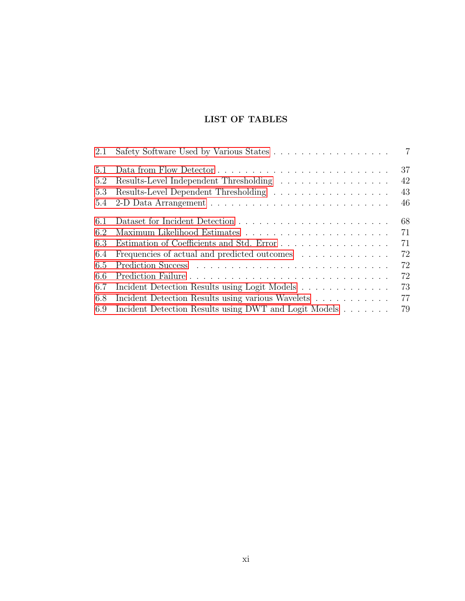# LIST OF TABLES

<span id="page-11-0"></span>

| 2.1 |                                                       | $\overline{7}$ |
|-----|-------------------------------------------------------|----------------|
| 5.1 |                                                       | 37             |
| 5.2 | Results-Level Independent Thresholding                | 42             |
| 5.3 | Results-Level Dependent Thresholding                  | 43             |
| 5.4 |                                                       | 46             |
| 6.1 |                                                       | 68             |
| 6.2 |                                                       | 71             |
| 6.3 | Estimation of Coefficients and Std. Error             | 71             |
| 6.4 | Frequencies of actual and predicted outcomes          | 72             |
| 6.5 |                                                       | 72             |
| 6.6 |                                                       | 72             |
| 6.7 | Incident Detection Results using Logit Models         | 73             |
| 6.8 | Incident Detection Results using various Wavelets     | 77             |
| 6.9 | Incident Detection Results using DWT and Logit Models | 79             |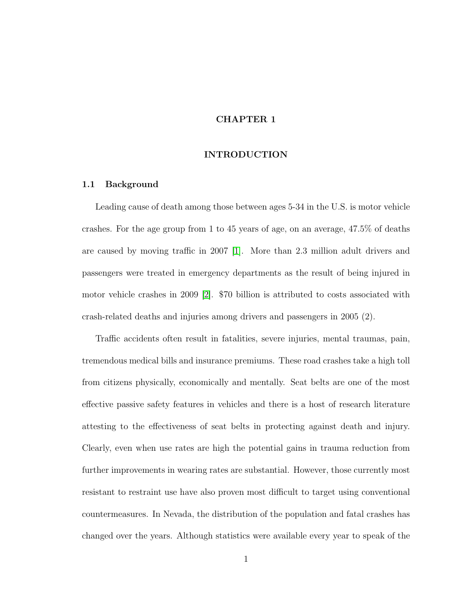#### CHAPTER 1

#### INTRODUCTION

#### <span id="page-12-1"></span><span id="page-12-0"></span>1.1 Background

Leading cause of death among those between ages 5-34 in the U.S. is motor vehicle crashes. For the age group from 1 to 45 years of age, on an average, 47.5% of deaths are caused by moving traffic in 2007 [\[1\]](#page-95-1). More than 2.3 million adult drivers and passengers were treated in emergency departments as the result of being injured in motor vehicle crashes in 2009 [\[2\]](#page-95-2). \$70 billion is attributed to costs associated with crash-related deaths and injuries among drivers and passengers in 2005 (2).

Traffic accidents often result in fatalities, severe injuries, mental traumas, pain, tremendous medical bills and insurance premiums. These road crashes take a high toll from citizens physically, economically and mentally. Seat belts are one of the most effective passive safety features in vehicles and there is a host of research literature attesting to the effectiveness of seat belts in protecting against death and injury. Clearly, even when use rates are high the potential gains in trauma reduction from further improvements in wearing rates are substantial. However, those currently most resistant to restraint use have also proven most difficult to target using conventional countermeasures. In Nevada, the distribution of the population and fatal crashes has changed over the years. Although statistics were available every year to speak of the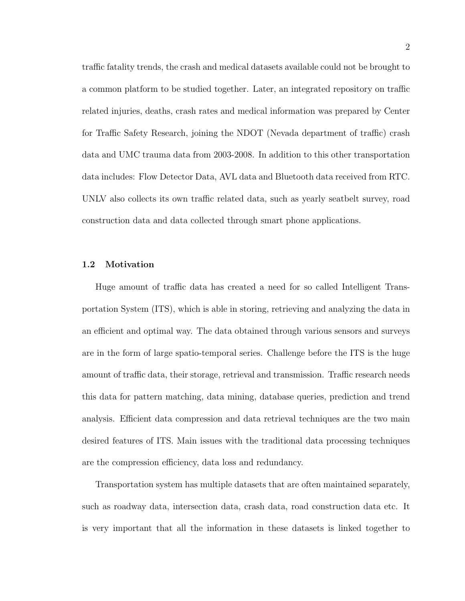traffic fatality trends, the crash and medical datasets available could not be brought to a common platform to be studied together. Later, an integrated repository on traffic related injuries, deaths, crash rates and medical information was prepared by Center for Traffic Safety Research, joining the NDOT (Nevada department of traffic) crash data and UMC trauma data from 2003-2008. In addition to this other transportation data includes: Flow Detector Data, AVL data and Bluetooth data received from RTC. UNLV also collects its own traffic related data, such as yearly seatbelt survey, road construction data and data collected through smart phone applications.

#### <span id="page-13-0"></span>1.2 Motivation

Huge amount of traffic data has created a need for so called Intelligent Transportation System (ITS), which is able in storing, retrieving and analyzing the data in an efficient and optimal way. The data obtained through various sensors and surveys are in the form of large spatio-temporal series. Challenge before the ITS is the huge amount of traffic data, their storage, retrieval and transmission. Traffic research needs this data for pattern matching, data mining, database queries, prediction and trend analysis. Efficient data compression and data retrieval techniques are the two main desired features of ITS. Main issues with the traditional data processing techniques are the compression efficiency, data loss and redundancy.

Transportation system has multiple datasets that are often maintained separately, such as roadway data, intersection data, crash data, road construction data etc. It is very important that all the information in these datasets is linked together to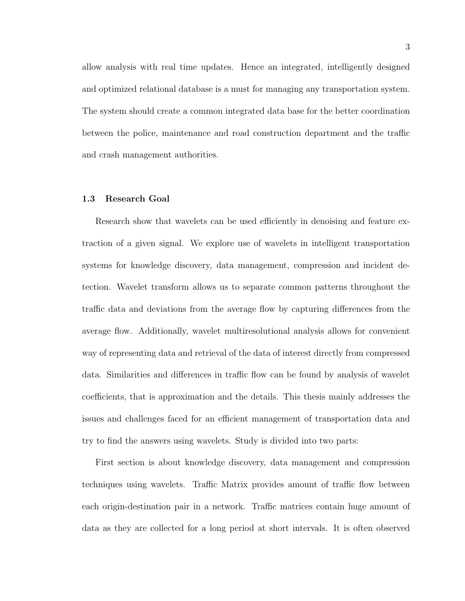allow analysis with real time updates. Hence an integrated, intelligently designed and optimized relational database is a must for managing any transportation system. The system should create a common integrated data base for the better coordination between the police, maintenance and road construction department and the traffic and crash management authorities.

#### <span id="page-14-0"></span>1.3 Research Goal

Research show that wavelets can be used efficiently in denoising and feature extraction of a given signal. We explore use of wavelets in intelligent transportation systems for knowledge discovery, data management, compression and incident detection. Wavelet transform allows us to separate common patterns throughout the traffic data and deviations from the average flow by capturing differences from the average flow. Additionally, wavelet multiresolutional analysis allows for convenient way of representing data and retrieval of the data of interest directly from compressed data. Similarities and differences in traffic flow can be found by analysis of wavelet coefficients, that is approximation and the details. This thesis mainly addresses the issues and challenges faced for an efficient management of transportation data and try to find the answers using wavelets. Study is divided into two parts:

First section is about knowledge discovery, data management and compression techniques using wavelets. Traffic Matrix provides amount of traffic flow between each origin-destination pair in a network. Traffic matrices contain huge amount of data as they are collected for a long period at short intervals. It is often observed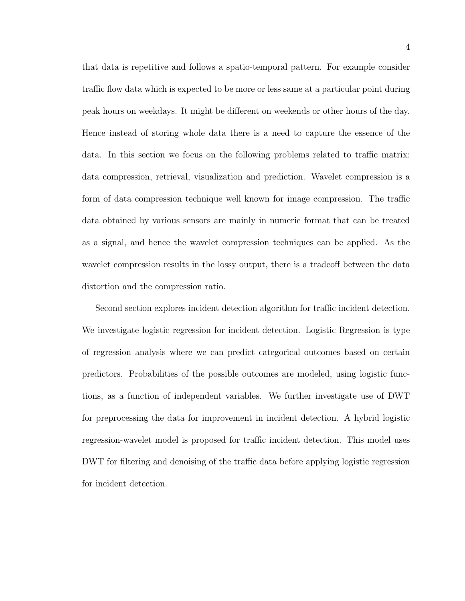that data is repetitive and follows a spatio-temporal pattern. For example consider traffic flow data which is expected to be more or less same at a particular point during peak hours on weekdays. It might be different on weekends or other hours of the day. Hence instead of storing whole data there is a need to capture the essence of the data. In this section we focus on the following problems related to traffic matrix: data compression, retrieval, visualization and prediction. Wavelet compression is a form of data compression technique well known for image compression. The traffic data obtained by various sensors are mainly in numeric format that can be treated as a signal, and hence the wavelet compression techniques can be applied. As the wavelet compression results in the lossy output, there is a tradeoff between the data distortion and the compression ratio.

Second section explores incident detection algorithm for traffic incident detection. We investigate logistic regression for incident detection. Logistic Regression is type of regression analysis where we can predict categorical outcomes based on certain predictors. Probabilities of the possible outcomes are modeled, using logistic functions, as a function of independent variables. We further investigate use of DWT for preprocessing the data for improvement in incident detection. A hybrid logistic regression-wavelet model is proposed for traffic incident detection. This model uses DWT for filtering and denoising of the traffic data before applying logistic regression for incident detection.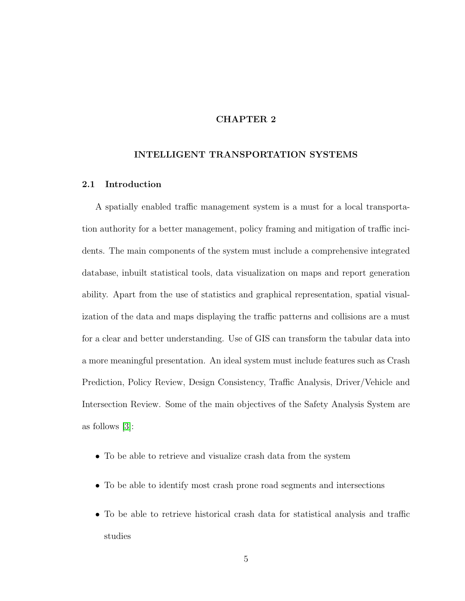#### CHAPTER 2

#### <span id="page-16-0"></span>INTELLIGENT TRANSPORTATION SYSTEMS

#### <span id="page-16-1"></span>2.1 Introduction

A spatially enabled traffic management system is a must for a local transportation authority for a better management, policy framing and mitigation of traffic incidents. The main components of the system must include a comprehensive integrated database, inbuilt statistical tools, data visualization on maps and report generation ability. Apart from the use of statistics and graphical representation, spatial visualization of the data and maps displaying the traffic patterns and collisions are a must for a clear and better understanding. Use of GIS can transform the tabular data into a more meaningful presentation. An ideal system must include features such as Crash Prediction, Policy Review, Design Consistency, Traffic Analysis, Driver/Vehicle and Intersection Review. Some of the main objectives of the Safety Analysis System are as follows [\[3\]](#page-95-3):

- To be able to retrieve and visualize crash data from the system
- To be able to identify most crash prone road segments and intersections
- To be able to retrieve historical crash data for statistical analysis and traffic studies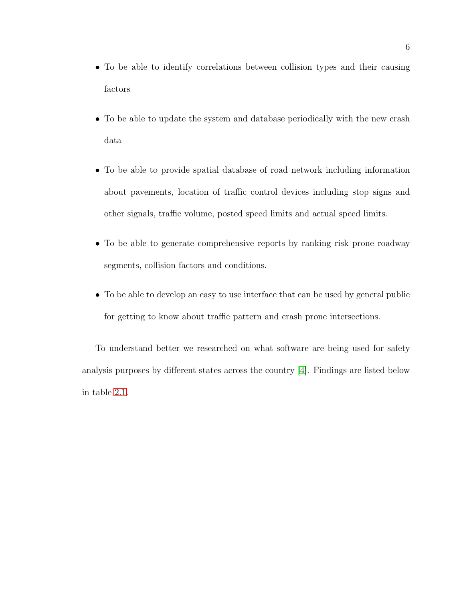- To be able to identify correlations between collision types and their causing factors
- To be able to update the system and database periodically with the new crash data
- To be able to provide spatial database of road network including information about pavements, location of traffic control devices including stop signs and other signals, traffic volume, posted speed limits and actual speed limits.
- To be able to generate comprehensive reports by ranking risk prone roadway segments, collision factors and conditions.
- To be able to develop an easy to use interface that can be used by general public for getting to know about traffic pattern and crash prone intersections.

To understand better we researched on what software are being used for safety analysis purposes by different states across the country [\[4\]](#page-95-4). Findings are listed below in table [2.1.](#page-16-1)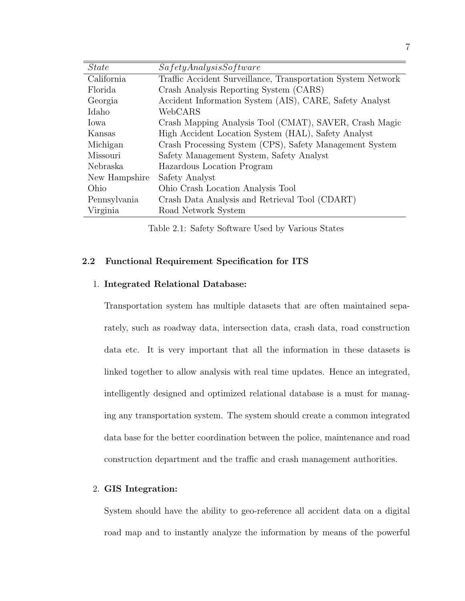| <i>State</i>  | SafetyAnalysisSoftware                                       |
|---------------|--------------------------------------------------------------|
| California    | Traffic Accident Surveillance, Transportation System Network |
| Florida       | Crash Analysis Reporting System (CARS)                       |
| Georgia       | Accident Information System (AIS), CARE, Safety Analyst      |
| Idaho         | WebCARS                                                      |
| Iowa          | Crash Mapping Analysis Tool (CMAT), SAVER, Crash Magic       |
| Kansas        | High Accident Location System (HAL), Safety Analyst          |
| Michigan      | Crash Processing System (CPS), Safety Management System      |
| Missouri      | Safety Management System, Safety Analyst                     |
| Nebraska      | Hazardous Location Program                                   |
| New Hampshire | Safety Analyst                                               |
| Ohio          | Ohio Crash Location Analysis Tool                            |
| Pennsylvania  | Crash Data Analysis and Retrieval Tool (CDART)               |
| Virginia      | Road Network System                                          |

<span id="page-18-1"></span>Table 2.1: Safety Software Used by Various States

#### <span id="page-18-0"></span>2.2 Functional Requirement Specification for ITS

#### 1. Integrated Relational Database:

Transportation system has multiple datasets that are often maintained separately, such as roadway data, intersection data, crash data, road construction data etc. It is very important that all the information in these datasets is linked together to allow analysis with real time updates. Hence an integrated, intelligently designed and optimized relational database is a must for managing any transportation system. The system should create a common integrated data base for the better coordination between the police, maintenance and road construction department and the traffic and crash management authorities.

#### 2. GIS Integration:

System should have the ability to geo-reference all accident data on a digital road map and to instantly analyze the information by means of the powerful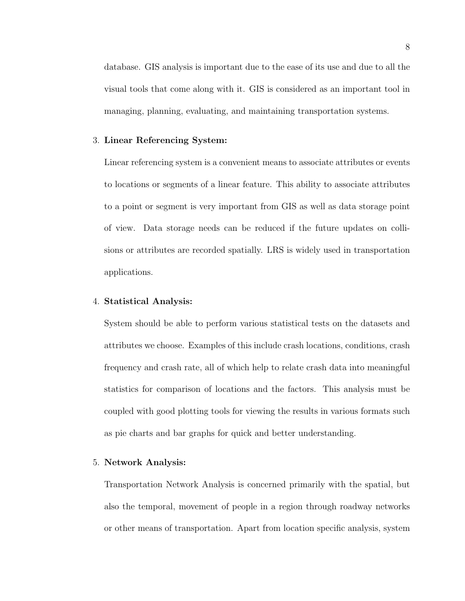database. GIS analysis is important due to the ease of its use and due to all the visual tools that come along with it. GIS is considered as an important tool in managing, planning, evaluating, and maintaining transportation systems.

#### 3. Linear Referencing System:

Linear referencing system is a convenient means to associate attributes or events to locations or segments of a linear feature. This ability to associate attributes to a point or segment is very important from GIS as well as data storage point of view. Data storage needs can be reduced if the future updates on collisions or attributes are recorded spatially. LRS is widely used in transportation applications.

#### 4. Statistical Analysis:

System should be able to perform various statistical tests on the datasets and attributes we choose. Examples of this include crash locations, conditions, crash frequency and crash rate, all of which help to relate crash data into meaningful statistics for comparison of locations and the factors. This analysis must be coupled with good plotting tools for viewing the results in various formats such as pie charts and bar graphs for quick and better understanding.

#### 5. Network Analysis:

Transportation Network Analysis is concerned primarily with the spatial, but also the temporal, movement of people in a region through roadway networks or other means of transportation. Apart from location specific analysis, system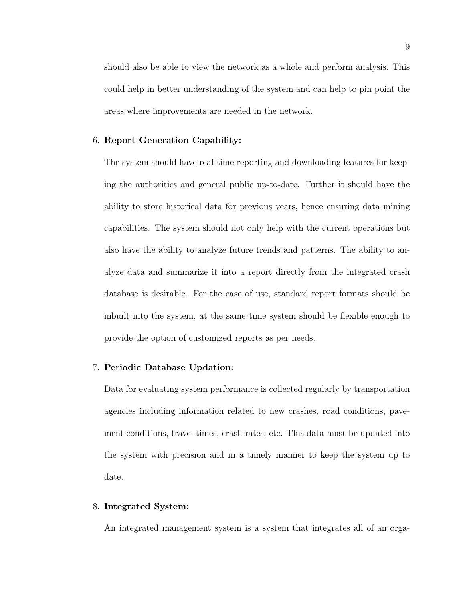should also be able to view the network as a whole and perform analysis. This could help in better understanding of the system and can help to pin point the areas where improvements are needed in the network.

#### 6. Report Generation Capability:

The system should have real-time reporting and downloading features for keeping the authorities and general public up-to-date. Further it should have the ability to store historical data for previous years, hence ensuring data mining capabilities. The system should not only help with the current operations but also have the ability to analyze future trends and patterns. The ability to analyze data and summarize it into a report directly from the integrated crash database is desirable. For the ease of use, standard report formats should be inbuilt into the system, at the same time system should be flexible enough to provide the option of customized reports as per needs.

#### 7. Periodic Database Updation:

Data for evaluating system performance is collected regularly by transportation agencies including information related to new crashes, road conditions, pavement conditions, travel times, crash rates, etc. This data must be updated into the system with precision and in a timely manner to keep the system up to date.

#### 8. Integrated System:

An integrated management system is a system that integrates all of an orga-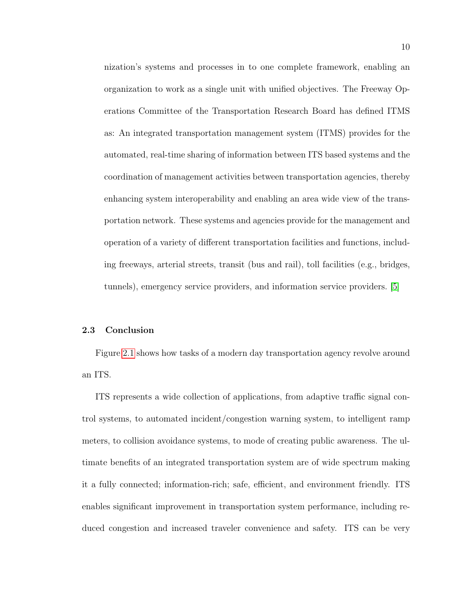nization's systems and processes in to one complete framework, enabling an organization to work as a single unit with unified objectives. The Freeway Operations Committee of the Transportation Research Board has defined ITMS as: An integrated transportation management system (ITMS) provides for the automated, real-time sharing of information between ITS based systems and the coordination of management activities between transportation agencies, thereby enhancing system interoperability and enabling an area wide view of the transportation network. These systems and agencies provide for the management and operation of a variety of different transportation facilities and functions, including freeways, arterial streets, transit (bus and rail), toll facilities (e.g., bridges, tunnels), emergency service providers, and information service providers. [\[5\]](#page-95-5)

#### <span id="page-21-0"></span>2.3 Conclusion

Figure [2.1](#page-22-0) shows how tasks of a modern day transportation agency revolve around an ITS.

ITS represents a wide collection of applications, from adaptive traffic signal control systems, to automated incident/congestion warning system, to intelligent ramp meters, to collision avoidance systems, to mode of creating public awareness. The ultimate benefits of an integrated transportation system are of wide spectrum making it a fully connected; information-rich; safe, efficient, and environment friendly. ITS enables significant improvement in transportation system performance, including reduced congestion and increased traveler convenience and safety. ITS can be very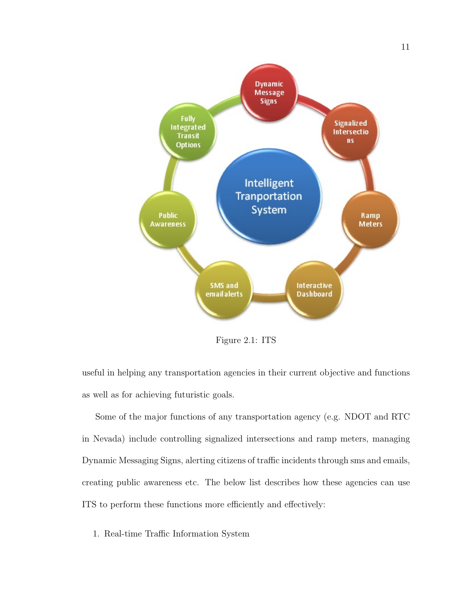

<span id="page-22-0"></span>Figure 2.1: ITS

useful in helping any transportation agencies in their current objective and functions as well as for achieving futuristic goals.

Some of the major functions of any transportation agency (e.g. NDOT and RTC in Nevada) include controlling signalized intersections and ramp meters, managing Dynamic Messaging Signs, alerting citizens of traffic incidents through sms and emails, creating public awareness etc. The below list describes how these agencies can use ITS to perform these functions more efficiently and effectively:

1. Real-time Traffic Information System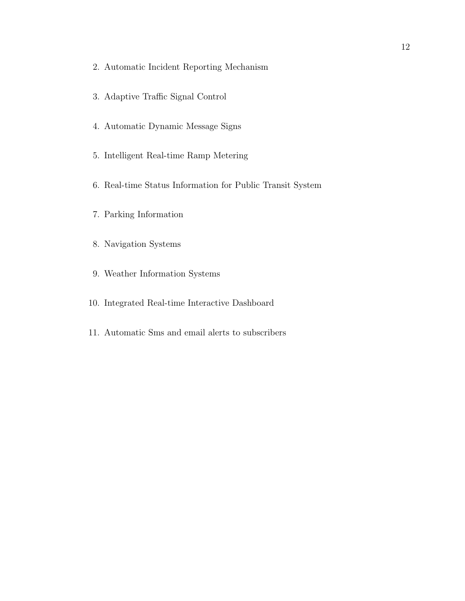- 2. Automatic Incident Reporting Mechanism
- 3. Adaptive Traffic Signal Control
- 4. Automatic Dynamic Message Signs
- 5. Intelligent Real-time Ramp Metering
- 6. Real-time Status Information for Public Transit System
- 7. Parking Information
- 8. Navigation Systems
- 9. Weather Information Systems
- 10. Integrated Real-time Interactive Dashboard
- 11. Automatic Sms and email alerts to subscribers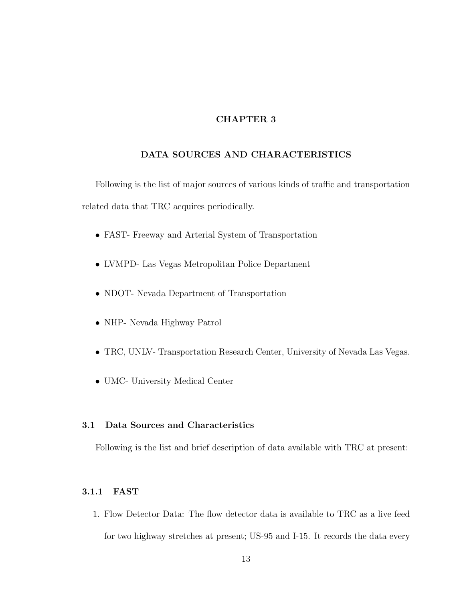#### CHAPTER 3

## <span id="page-24-0"></span>DATA SOURCES AND CHARACTERISTICS

Following is the list of major sources of various kinds of traffic and transportation related data that TRC acquires periodically.

- FAST- Freeway and Arterial System of Transportation
- LVMPD- Las Vegas Metropolitan Police Department
- NDOT- Nevada Department of Transportation
- NHP- Nevada Highway Patrol
- TRC, UNLV- Transportation Research Center, University of Nevada Las Vegas.
- UMC- University Medical Center

#### <span id="page-24-1"></span>3.1 Data Sources and Characteristics

Following is the list and brief description of data available with TRC at present:

#### <span id="page-24-2"></span>3.1.1 FAST

1. Flow Detector Data: The flow detector data is available to TRC as a live feed for two highway stretches at present; US-95 and I-15. It records the data every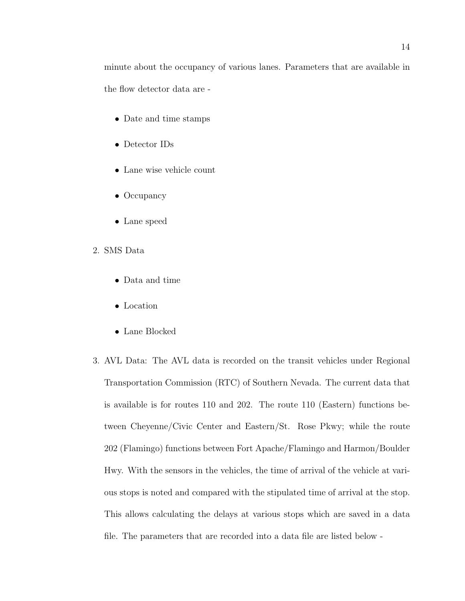minute about the occupancy of various lanes. Parameters that are available in the flow detector data are -

- Date and time stamps
- Detector IDs
- Lane wise vehicle count
- Occupancy
- Lane speed
- 2. SMS Data
	- Data and time
	- Location
	- Lane Blocked
- 3. AVL Data: The AVL data is recorded on the transit vehicles under Regional Transportation Commission (RTC) of Southern Nevada. The current data that is available is for routes 110 and 202. The route 110 (Eastern) functions between Cheyenne/Civic Center and Eastern/St. Rose Pkwy; while the route 202 (Flamingo) functions between Fort Apache/Flamingo and Harmon/Boulder Hwy. With the sensors in the vehicles, the time of arrival of the vehicle at various stops is noted and compared with the stipulated time of arrival at the stop. This allows calculating the delays at various stops which are saved in a data file. The parameters that are recorded into a data file are listed below -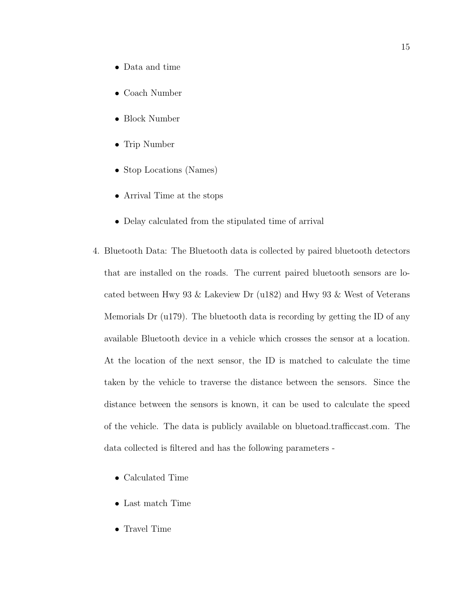- Data and time
- Coach Number
- Block Number
- Trip Number
- Stop Locations (Names)
- Arrival Time at the stops
- Delay calculated from the stipulated time of arrival
- 4. Bluetooth Data: The Bluetooth data is collected by paired bluetooth detectors that are installed on the roads. The current paired bluetooth sensors are located between Hwy 93 & Lakeview Dr (u182) and Hwy 93 & West of Veterans Memorials Dr (u179). The bluetooth data is recording by getting the ID of any available Bluetooth device in a vehicle which crosses the sensor at a location. At the location of the next sensor, the ID is matched to calculate the time taken by the vehicle to traverse the distance between the sensors. Since the distance between the sensors is known, it can be used to calculate the speed of the vehicle. The data is publicly available on bluetoad.trafficcast.com. The data collected is filtered and has the following parameters -
	- Calculated Time
	- Last match Time
	- Travel Time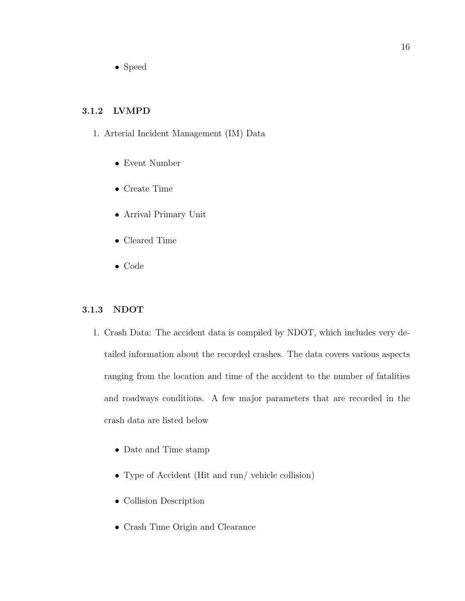• Speed

## <span id="page-27-0"></span>3.1.2 LVMPD

- 1. Arterial Incident Management (IM) Data
	- Event Number
	- Create Time
	- Arrival Primary Unit
	- Cleared Time
	- Code

#### <span id="page-27-1"></span>3.1.3 NDOT

- 1. Crash Data: The accident data is compiled by NDOT, which includes very detailed information about the recorded crashes. The data covers various aspects ranging from the location and time of the accident to the number of fatalities and roadways conditions. A few major parameters that are recorded in the crash data are listed below
	- Date and Time stamp
	- Type of Accident (Hit and run/ vehicle collision)
	- Collision Description
	- Crash Time Origin and Clearance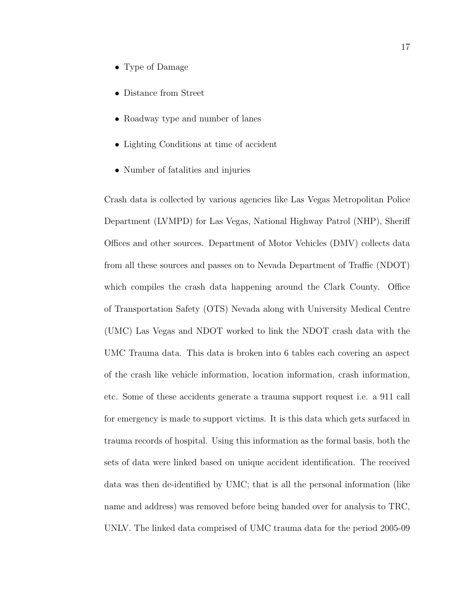- Type of Damage
- Distance from Street
- Roadway type and number of lanes
- Lighting Conditions at time of accident
- Number of fatalities and injuries

Crash data is collected by various agencies like Las Vegas Metropolitan Police Department (LVMPD) for Las Vegas, National Highway Patrol (NHP), Sheriff Offices and other sources. Department of Motor Vehicles (DMV) collects data from all these sources and passes on to Nevada Department of Traffic (NDOT) which compiles the crash data happening around the Clark County. Office of Transportation Safety (OTS) Nevada along with University Medical Centre (UMC) Las Vegas and NDOT worked to link the NDOT crash data with the UMC Trauma data. This data is broken into 6 tables each covering an aspect of the crash like vehicle information, location information, crash information, etc. Some of these accidents generate a trauma support request i.e. a 911 call for emergency is made to support victims. It is this data which gets surfaced in trauma records of hospital. Using this information as the formal basis, both the sets of data were linked based on unique accident identification. The received data was then de-identified by UMC; that is all the personal information (like name and address) was removed before being handed over for analysis to TRC, UNLV. The linked data comprised of UMC trauma data for the period 2005-09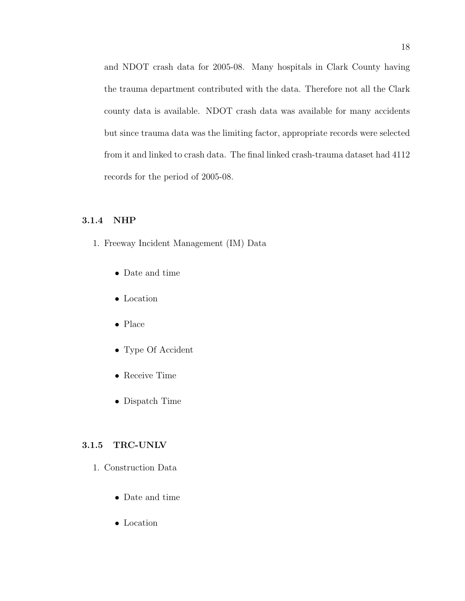and NDOT crash data for 2005-08. Many hospitals in Clark County having the trauma department contributed with the data. Therefore not all the Clark county data is available. NDOT crash data was available for many accidents but since trauma data was the limiting factor, appropriate records were selected from it and linked to crash data. The final linked crash-trauma dataset had 4112 records for the period of 2005-08.

#### <span id="page-29-0"></span>3.1.4 NHP

- 1. Freeway Incident Management (IM) Data
	- Date and time
	- Location
	- Place
	- Type Of Accident
	- Receive Time
	- Dispatch Time

#### <span id="page-29-1"></span>3.1.5 TRC-UNLV

- 1. Construction Data
	- Date and time
	- Location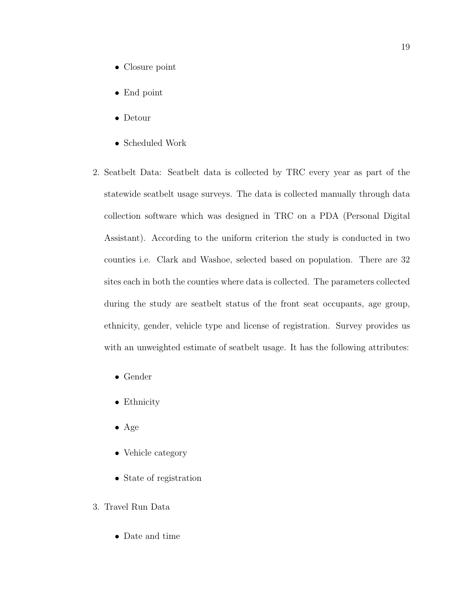- Closure point
- End point
- Detour
- Scheduled Work
- 2. Seatbelt Data: Seatbelt data is collected by TRC every year as part of the statewide seatbelt usage surveys. The data is collected manually through data collection software which was designed in TRC on a PDA (Personal Digital Assistant). According to the uniform criterion the study is conducted in two counties i.e. Clark and Washoe, selected based on population. There are 32 sites each in both the counties where data is collected. The parameters collected during the study are seatbelt status of the front seat occupants, age group, ethnicity, gender, vehicle type and license of registration. Survey provides us with an unweighted estimate of seatbelt usage. It has the following attributes:
	- Gender
	- Ethnicity
	- Age
	- Vehicle category
	- State of registration
- 3. Travel Run Data
	- Date and time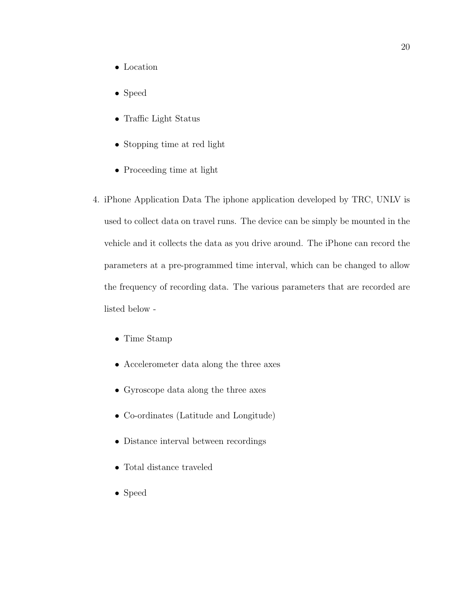- Location
- Speed
- Traffic Light Status
- Stopping time at red light
- Proceeding time at light
- 4. iPhone Application Data The iphone application developed by TRC, UNLV is used to collect data on travel runs. The device can be simply be mounted in the vehicle and it collects the data as you drive around. The iPhone can record the parameters at a pre-programmed time interval, which can be changed to allow the frequency of recording data. The various parameters that are recorded are listed below -
	- Time Stamp
	- Accelerometer data along the three axes
	- Gyroscope data along the three axes
	- Co-ordinates (Latitude and Longitude)
	- Distance interval between recordings
	- Total distance traveled
	- Speed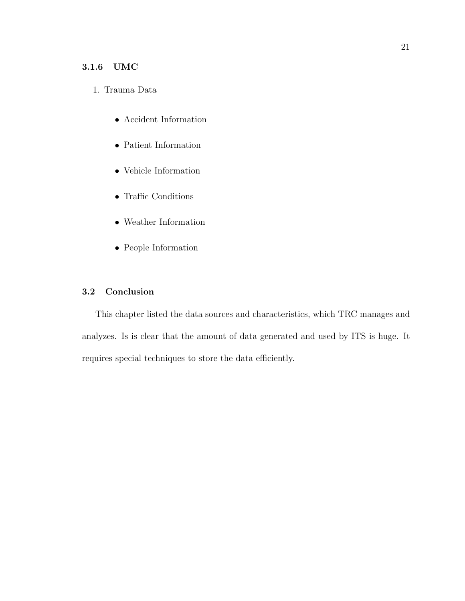## <span id="page-32-0"></span>3.1.6 UMC

## 1. Trauma Data

- Accident Information
- Patient Information
- Vehicle Information
- Traffic Conditions
- Weather Information
- People Information

## <span id="page-32-1"></span>3.2 Conclusion

This chapter listed the data sources and characteristics, which TRC manages and analyzes. Is is clear that the amount of data generated and used by ITS is huge. It requires special techniques to store the data efficiently.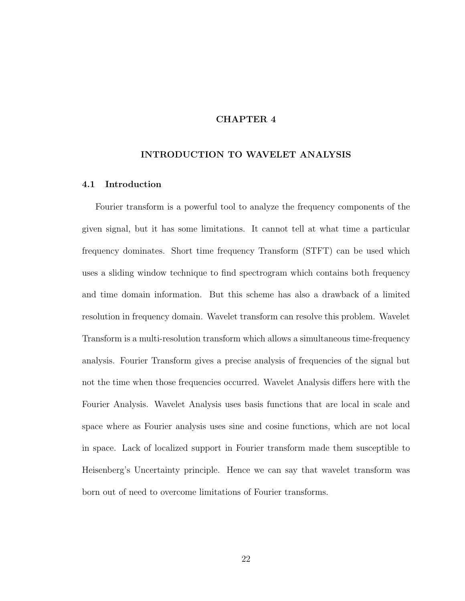#### CHAPTER 4

#### <span id="page-33-0"></span>INTRODUCTION TO WAVELET ANALYSIS

#### <span id="page-33-1"></span>4.1 Introduction

Fourier transform is a powerful tool to analyze the frequency components of the given signal, but it has some limitations. It cannot tell at what time a particular frequency dominates. Short time frequency Transform (STFT) can be used which uses a sliding window technique to find spectrogram which contains both frequency and time domain information. But this scheme has also a drawback of a limited resolution in frequency domain. Wavelet transform can resolve this problem. Wavelet Transform is a multi-resolution transform which allows a simultaneous time-frequency analysis. Fourier Transform gives a precise analysis of frequencies of the signal but not the time when those frequencies occurred. Wavelet Analysis differs here with the Fourier Analysis. Wavelet Analysis uses basis functions that are local in scale and space where as Fourier analysis uses sine and cosine functions, which are not local in space. Lack of localized support in Fourier transform made them susceptible to Heisenberg's Uncertainty principle. Hence we can say that wavelet transform was born out of need to overcome limitations of Fourier transforms.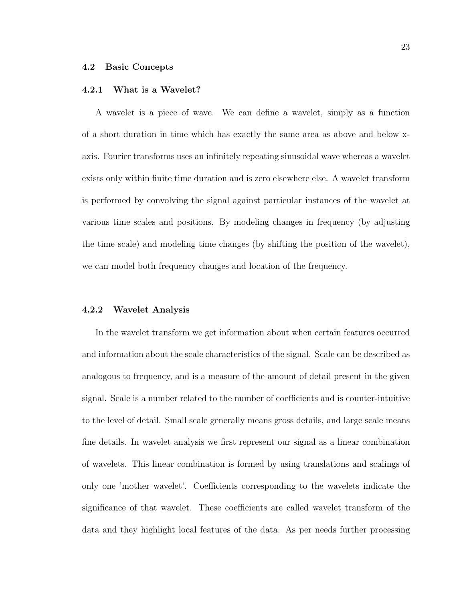#### <span id="page-34-1"></span><span id="page-34-0"></span>4.2 Basic Concepts

#### 4.2.1 What is a Wavelet?

A wavelet is a piece of wave. We can define a wavelet, simply as a function of a short duration in time which has exactly the same area as above and below xaxis. Fourier transforms uses an infinitely repeating sinusoidal wave whereas a wavelet exists only within finite time duration and is zero elsewhere else. A wavelet transform is performed by convolving the signal against particular instances of the wavelet at various time scales and positions. By modeling changes in frequency (by adjusting the time scale) and modeling time changes (by shifting the position of the wavelet), we can model both frequency changes and location of the frequency.

#### <span id="page-34-2"></span>4.2.2 Wavelet Analysis

In the wavelet transform we get information about when certain features occurred and information about the scale characteristics of the signal. Scale can be described as analogous to frequency, and is a measure of the amount of detail present in the given signal. Scale is a number related to the number of coefficients and is counter-intuitive to the level of detail. Small scale generally means gross details, and large scale means fine details. In wavelet analysis we first represent our signal as a linear combination of wavelets. This linear combination is formed by using translations and scalings of only one 'mother wavelet'. Coefficients corresponding to the wavelets indicate the significance of that wavelet. These coefficients are called wavelet transform of the data and they highlight local features of the data. As per needs further processing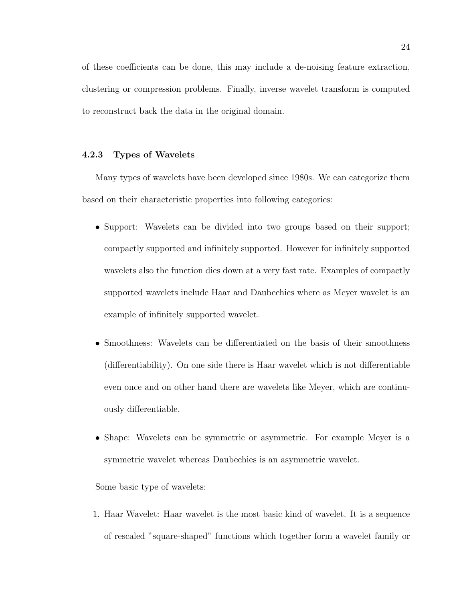of these coefficients can be done, this may include a de-noising feature extraction, clustering or compression problems. Finally, inverse wavelet transform is computed to reconstruct back the data in the original domain.

#### <span id="page-35-0"></span>4.2.3 Types of Wavelets

Many types of wavelets have been developed since 1980s. We can categorize them based on their characteristic properties into following categories:

- Support: Wavelets can be divided into two groups based on their support; compactly supported and infinitely supported. However for infinitely supported wavelets also the function dies down at a very fast rate. Examples of compactly supported wavelets include Haar and Daubechies where as Meyer wavelet is an example of infinitely supported wavelet.
- Smoothness: Wavelets can be differentiated on the basis of their smoothness (differentiability). On one side there is Haar wavelet which is not differentiable even once and on other hand there are wavelets like Meyer, which are continuously differentiable.
- Shape: Wavelets can be symmetric or asymmetric. For example Meyer is a symmetric wavelet whereas Daubechies is an asymmetric wavelet.

Some basic type of wavelets:

1. Haar Wavelet: Haar wavelet is the most basic kind of wavelet. It is a sequence of rescaled "square-shaped" functions which together form a wavelet family or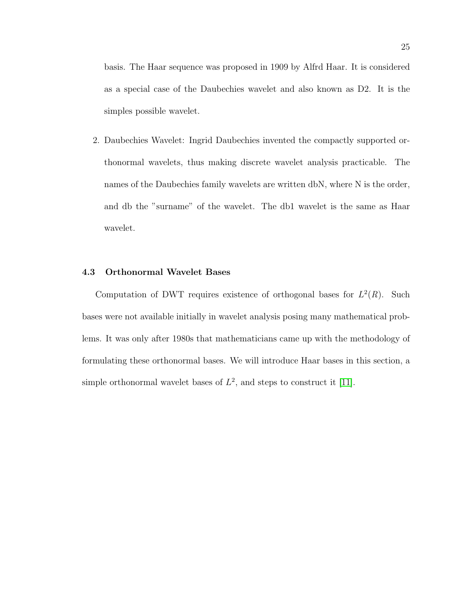basis. The Haar sequence was proposed in 1909 by Alfrd Haar. It is considered as a special case of the Daubechies wavelet and also known as D2. It is the simples possible wavelet.

2. Daubechies Wavelet: Ingrid Daubechies invented the compactly supported orthonormal wavelets, thus making discrete wavelet analysis practicable. The names of the Daubechies family wavelets are written dbN, where N is the order, and db the "surname" of the wavelet. The db1 wavelet is the same as Haar wavelet.

#### 4.3 Orthonormal Wavelet Bases

Computation of DWT requires existence of orthogonal bases for  $L^2(R)$ . Such bases were not available initially in wavelet analysis posing many mathematical problems. It was only after 1980s that mathematicians came up with the methodology of formulating these orthonormal bases. We will introduce Haar bases in this section, a simple orthonormal wavelet bases of  $L^2$ , and steps to construct it [\[11\]](#page-95-0).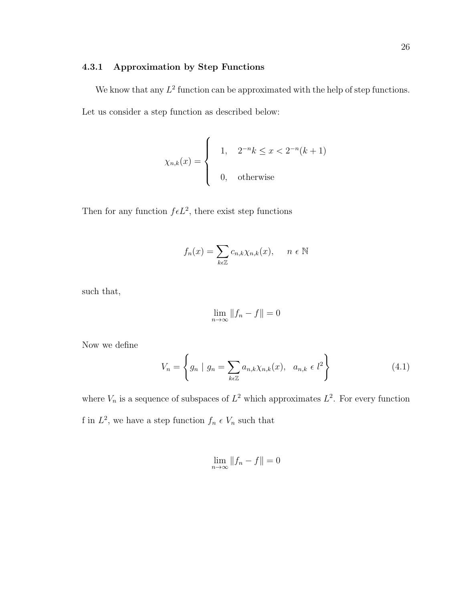# 4.3.1 Approximation by Step Functions

We know that any  $L^2$  function can be approximated with the help of step functions. Let us consider a step function as described below:

$$
\chi_{n,k}(x) = \begin{cases} 1, & 2^{-n}k \le x < 2^{-n}(k+1) \\ 0, & \text{otherwise} \end{cases}
$$

Then for any function  $f \in L^2$ , there exist step functions

$$
f_n(x) = \sum_{k \in \mathbb{Z}} c_{n,k} \chi_{n,k}(x), \quad n \in \mathbb{N}
$$

such that,

$$
\lim_{n \to \infty} \|f_n - f\| = 0
$$

Now we define

$$
V_n = \left\{ g_n \mid g_n = \sum_{k \in \mathbb{Z}} a_{n,k} \chi_{n,k}(x), \ a_{n,k} \in l^2 \right\}
$$
 (4.1)

where  $V_n$  is a sequence of subspaces of  $L^2$  which approximates  $L^2$ . For every function f in  $L^2$ , we have a step function  $f_n \in V_n$  such that

$$
\lim_{n \to \infty} \|f_n - f\| = 0
$$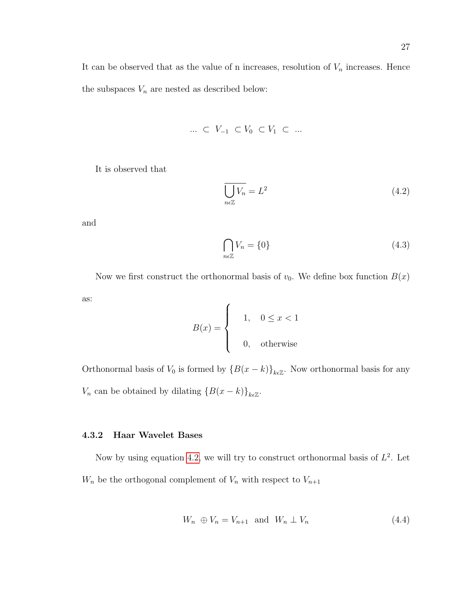It can be observed that as the value of n increases, resolution of  $V_n$  increases. Hence the subspaces  ${\cal V}_n$  are nested as described below:

$$
\ldots \ \subset \ V_{-1} \ \subset V_0 \ \subset V_1 \ \subset \ \ldots
$$

It is observed that

<span id="page-38-0"></span>
$$
\overline{\bigcup_{n\in\mathbb{Z}}V_n} = L^2\tag{4.2}
$$

and

<span id="page-38-1"></span>
$$
\bigcap_{n\in\mathbb{Z}}V_n = \{0\} \tag{4.3}
$$

Now we first construct the orthonormal basis of  $v_0$ . We define box function  $B(x)$ as:

$$
B(x) = \begin{cases} 1, & 0 \le x < 1 \\ 0, & \text{otherwise} \end{cases}
$$

Orthonormal basis of  $V_0$  is formed by  $\{B(x - k)\}_{k \in \mathbb{Z}}$ . Now orthonormal basis for any  $V_n$  can be obtained by dilating  $\{B(x - k)\}_{k \in \mathbb{Z}}$ .

# 4.3.2 Haar Wavelet Bases

Now by using equation [4.2,](#page-38-0) we will try to construct orthonormal basis of  $L^2$ . Let  $W_n$  be the orthogonal complement of  $V_n$  with respect to  $V_{n+1}$ 

<span id="page-38-2"></span>
$$
W_n \oplus V_n = V_{n+1} \quad \text{and} \quad W_n \perp V_n \tag{4.4}
$$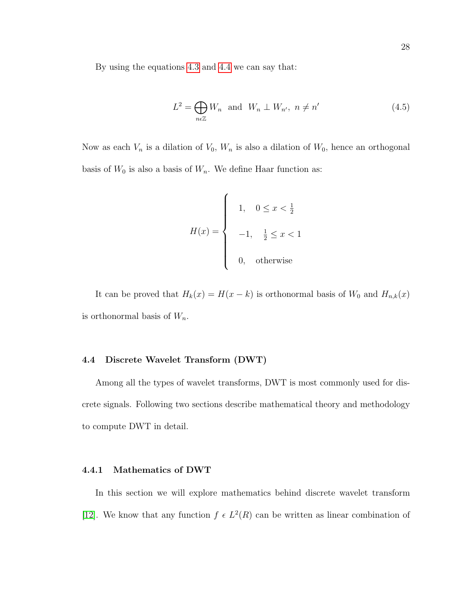By using the equations [4.3](#page-38-1) and [4.4](#page-38-2) we can say that:

$$
L^{2} = \bigoplus_{n \in \mathbb{Z}} W_{n} \text{ and } W_{n} \perp W_{n'}, n \neq n' \qquad (4.5)
$$

Now as each  $V_n$  is a dilation of  $V_0$ ,  $W_n$  is also a dilation of  $W_0$ , hence an orthogonal basis of  $W_0$  is also a basis of  $W_n$ . We define Haar function as:

$$
H(x) = \begin{cases} 1, & 0 \le x < \frac{1}{2} \\ -1, & \frac{1}{2} \le x < 1 \\ 0, & \text{otherwise} \end{cases}
$$

It can be proved that  $H_k(x) = H(x - k)$  is orthonormal basis of  $W_0$  and  $H_{n,k}(x)$ is orthonormal basis of  $W_n$ .

#### 4.4 Discrete Wavelet Transform (DWT)

Among all the types of wavelet transforms, DWT is most commonly used for discrete signals. Following two sections describe mathematical theory and methodology to compute DWT in detail.

#### 4.4.1 Mathematics of DWT

In this section we will explore mathematics behind discrete wavelet transform [\[12\]](#page-95-1). We know that any function  $f \in L^2(R)$  can be written as linear combination of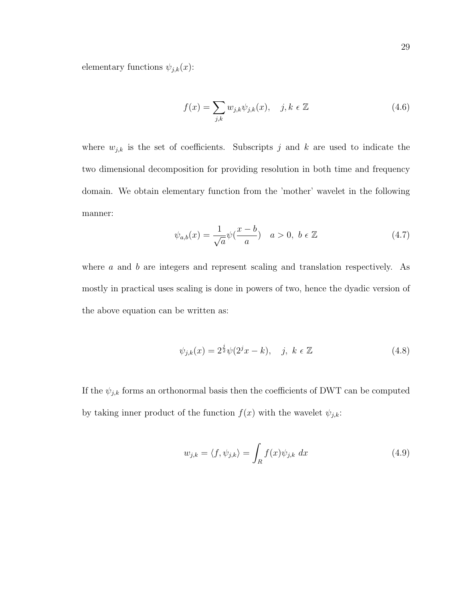elementary functions  $\psi_{j,k}(x)$ :

$$
f(x) = \sum_{j,k} w_{j,k} \psi_{j,k}(x), \quad j,k \in \mathbb{Z}
$$
 (4.6)

where  $w_{j,k}$  is the set of coefficients. Subscripts j and k are used to indicate the two dimensional decomposition for providing resolution in both time and frequency domain. We obtain elementary function from the 'mother' wavelet in the following manner:

$$
\psi_{a,b}(x) = \frac{1}{\sqrt{a}} \psi(\frac{x-b}{a}) \quad a > 0, \ b \in \mathbb{Z}
$$
\n(4.7)

where  $a$  and  $b$  are integers and represent scaling and translation respectively. As mostly in practical uses scaling is done in powers of two, hence the dyadic version of the above equation can be written as:

$$
\psi_{j,k}(x) = 2^{\frac{j}{2}} \psi(2^j x - k), \quad j, \ k \in \mathbb{Z}
$$
\n(4.8)

If the  $\psi_{j,k}$  forms an orthonormal basis then the coefficients of DWT can be computed by taking inner product of the function  $f(x)$  with the wavelet  $\psi_{j,k}$ :

$$
w_{j,k} = \langle f, \psi_{j,k} \rangle = \int_R f(x) \psi_{j,k} dx \tag{4.9}
$$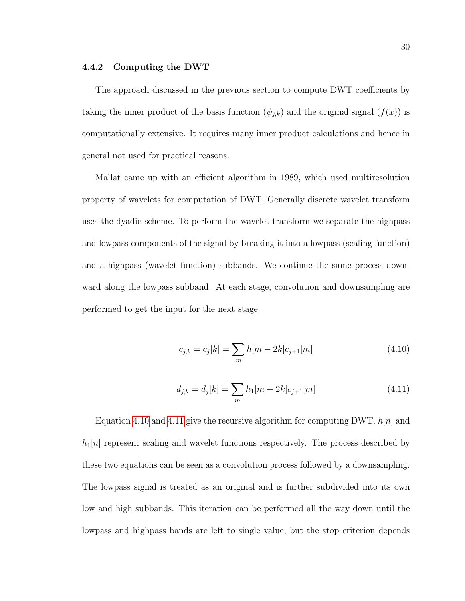#### 4.4.2 Computing the DWT

The approach discussed in the previous section to compute DWT coefficients by taking the inner product of the basis function  $(\psi_{j,k})$  and the original signal  $(f(x))$  is computationally extensive. It requires many inner product calculations and hence in general not used for practical reasons.

Mallat came up with an efficient algorithm in 1989, which used multiresolution property of wavelets for computation of DWT. Generally discrete wavelet transform uses the dyadic scheme. To perform the wavelet transform we separate the highpass and lowpass components of the signal by breaking it into a lowpass (scaling function) and a highpass (wavelet function) subbands. We continue the same process downward along the lowpass subband. At each stage, convolution and downsampling are performed to get the input for the next stage.

<span id="page-41-0"></span>
$$
c_{j,k} = c_j[k] = \sum_m h[m-2k]c_{j+1}[m]
$$
\n(4.10)

<span id="page-41-1"></span>
$$
d_{j,k} = d_j[k] = \sum_m h_1[m-2k]c_{j+1}[m]
$$
\n(4.11)

Equation [4.10](#page-41-0) and [4.11](#page-41-1) give the recursive algorithm for computing DWT.  $h[n]$  and  $h_1[n]$  represent scaling and wavelet functions respectively. The process described by these two equations can be seen as a convolution process followed by a downsampling. The lowpass signal is treated as an original and is further subdivided into its own low and high subbands. This iteration can be performed all the way down until the lowpass and highpass bands are left to single value, but the stop criterion depends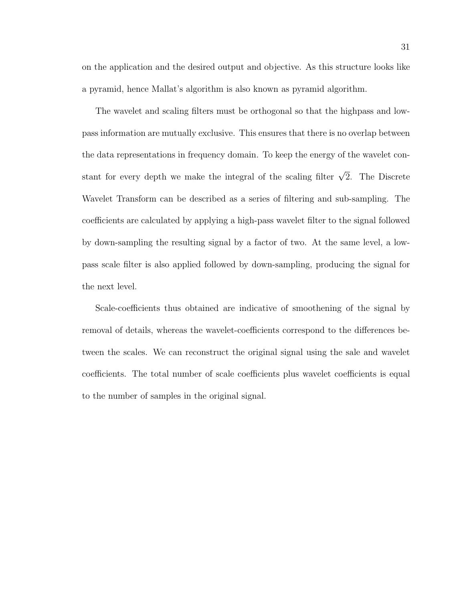on the application and the desired output and objective. As this structure looks like a pyramid, hence Mallat's algorithm is also known as pyramid algorithm.

The wavelet and scaling filters must be orthogonal so that the highpass and lowpass information are mutually exclusive. This ensures that there is no overlap between the data representations in frequency domain. To keep the energy of the wavelet constant for every depth we make the integral of the scaling filter  $\sqrt{2}$ . The Discrete Wavelet Transform can be described as a series of filtering and sub-sampling. The coefficients are calculated by applying a high-pass wavelet filter to the signal followed by down-sampling the resulting signal by a factor of two. At the same level, a lowpass scale filter is also applied followed by down-sampling, producing the signal for the next level.

Scale-coefficients thus obtained are indicative of smoothening of the signal by removal of details, whereas the wavelet-coefficients correspond to the differences between the scales. We can reconstruct the original signal using the sale and wavelet coefficients. The total number of scale coefficients plus wavelet coefficients is equal to the number of samples in the original signal.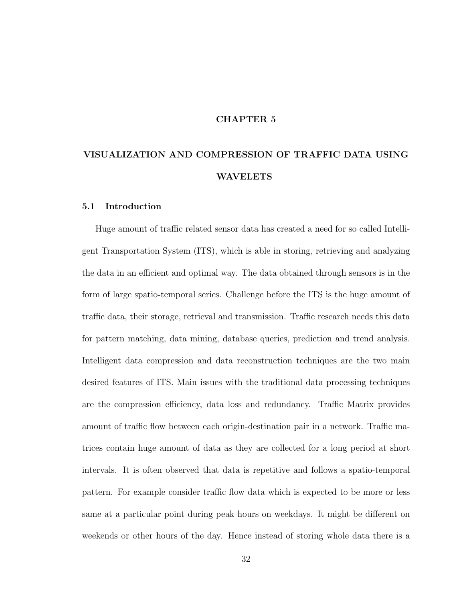#### CHAPTER 5

# VISUALIZATION AND COMPRESSION OF TRAFFIC DATA USING WAVELETS

#### 5.1 Introduction

Huge amount of traffic related sensor data has created a need for so called Intelligent Transportation System (ITS), which is able in storing, retrieving and analyzing the data in an efficient and optimal way. The data obtained through sensors is in the form of large spatio-temporal series. Challenge before the ITS is the huge amount of traffic data, their storage, retrieval and transmission. Traffic research needs this data for pattern matching, data mining, database queries, prediction and trend analysis. Intelligent data compression and data reconstruction techniques are the two main desired features of ITS. Main issues with the traditional data processing techniques are the compression efficiency, data loss and redundancy. Traffic Matrix provides amount of traffic flow between each origin-destination pair in a network. Traffic matrices contain huge amount of data as they are collected for a long period at short intervals. It is often observed that data is repetitive and follows a spatio-temporal pattern. For example consider traffic flow data which is expected to be more or less same at a particular point during peak hours on weekdays. It might be different on weekends or other hours of the day. Hence instead of storing whole data there is a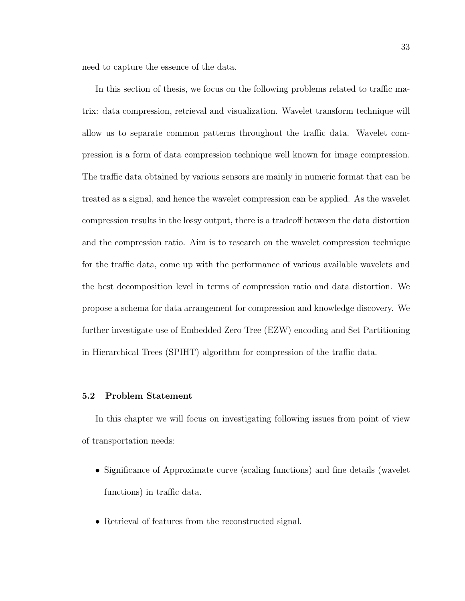need to capture the essence of the data.

In this section of thesis, we focus on the following problems related to traffic matrix: data compression, retrieval and visualization. Wavelet transform technique will allow us to separate common patterns throughout the traffic data. Wavelet compression is a form of data compression technique well known for image compression. The traffic data obtained by various sensors are mainly in numeric format that can be treated as a signal, and hence the wavelet compression can be applied. As the wavelet compression results in the lossy output, there is a tradeoff between the data distortion and the compression ratio. Aim is to research on the wavelet compression technique for the traffic data, come up with the performance of various available wavelets and the best decomposition level in terms of compression ratio and data distortion. We propose a schema for data arrangement for compression and knowledge discovery. We further investigate use of Embedded Zero Tree (EZW) encoding and Set Partitioning in Hierarchical Trees (SPIHT) algorithm for compression of the traffic data.

# 5.2 Problem Statement

In this chapter we will focus on investigating following issues from point of view of transportation needs:

- Significance of Approximate curve (scaling functions) and fine details (wavelet functions) in traffic data.
- Retrieval of features from the reconstructed signal.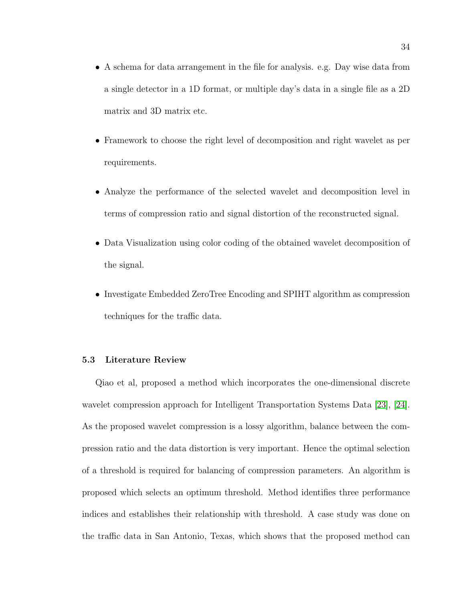- A schema for data arrangement in the file for analysis. e.g. Day wise data from a single detector in a 1D format, or multiple day's data in a single file as a 2D matrix and 3D matrix etc.
- Framework to choose the right level of decomposition and right wavelet as per requirements.
- Analyze the performance of the selected wavelet and decomposition level in terms of compression ratio and signal distortion of the reconstructed signal.
- Data Visualization using color coding of the obtained wavelet decomposition of the signal.
- Investigate Embedded ZeroTree Encoding and SPIHT algorithm as compression techniques for the traffic data.

#### 5.3 Literature Review

Qiao et al, proposed a method which incorporates the one-dimensional discrete wavelet compression approach for Intelligent Transportation Systems Data [\[23\]](#page-96-0), [\[24\]](#page-96-1). As the proposed wavelet compression is a lossy algorithm, balance between the compression ratio and the data distortion is very important. Hence the optimal selection of a threshold is required for balancing of compression parameters. An algorithm is proposed which selects an optimum threshold. Method identifies three performance indices and establishes their relationship with threshold. A case study was done on the traffic data in San Antonio, Texas, which shows that the proposed method can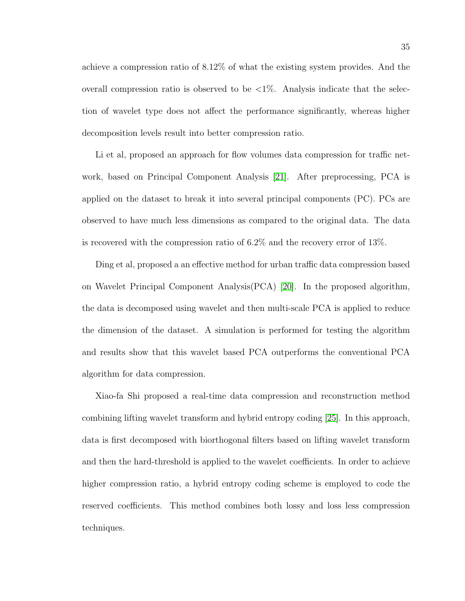achieve a compression ratio of 8.12% of what the existing system provides. And the overall compression ratio is observed to be  $\langle 1\% \rangle$ . Analysis indicate that the selection of wavelet type does not affect the performance significantly, whereas higher decomposition levels result into better compression ratio.

Li et al, proposed an approach for flow volumes data compression for traffic network, based on Principal Component Analysis [\[21\]](#page-96-2). After preprocessing, PCA is applied on the dataset to break it into several principal components (PC). PCs are observed to have much less dimensions as compared to the original data. The data is recovered with the compression ratio of 6.2% and the recovery error of 13%.

Ding et al, proposed a an effective method for urban traffic data compression based on Wavelet Principal Component Analysis(PCA) [\[20\]](#page-96-3). In the proposed algorithm, the data is decomposed using wavelet and then multi-scale PCA is applied to reduce the dimension of the dataset. A simulation is performed for testing the algorithm and results show that this wavelet based PCA outperforms the conventional PCA algorithm for data compression.

Xiao-fa Shi proposed a real-time data compression and reconstruction method combining lifting wavelet transform and hybrid entropy coding [\[25\]](#page-96-4). In this approach, data is first decomposed with biorthogonal filters based on lifting wavelet transform and then the hard-threshold is applied to the wavelet coefficients. In order to achieve higher compression ratio, a hybrid entropy coding scheme is employed to code the reserved coefficients. This method combines both lossy and loss less compression techniques.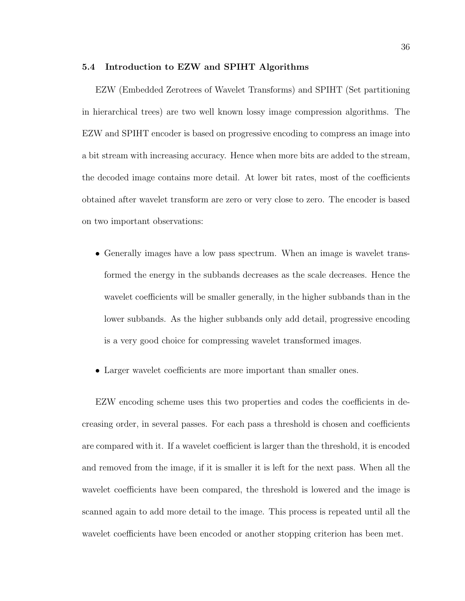#### 5.4 Introduction to EZW and SPIHT Algorithms

EZW (Embedded Zerotrees of Wavelet Transforms) and SPIHT (Set partitioning in hierarchical trees) are two well known lossy image compression algorithms. The EZW and SPIHT encoder is based on progressive encoding to compress an image into a bit stream with increasing accuracy. Hence when more bits are added to the stream, the decoded image contains more detail. At lower bit rates, most of the coefficients obtained after wavelet transform are zero or very close to zero. The encoder is based on two important observations:

- Generally images have a low pass spectrum. When an image is wavelet transformed the energy in the subbands decreases as the scale decreases. Hence the wavelet coefficients will be smaller generally, in the higher subbands than in the lower subbands. As the higher subbands only add detail, progressive encoding is a very good choice for compressing wavelet transformed images.
- Larger wavelet coefficients are more important than smaller ones.

EZW encoding scheme uses this two properties and codes the coefficients in decreasing order, in several passes. For each pass a threshold is chosen and coefficients are compared with it. If a wavelet coefficient is larger than the threshold, it is encoded and removed from the image, if it is smaller it is left for the next pass. When all the wavelet coefficients have been compared, the threshold is lowered and the image is scanned again to add more detail to the image. This process is repeated until all the wavelet coefficients have been encoded or another stopping criterion has been met.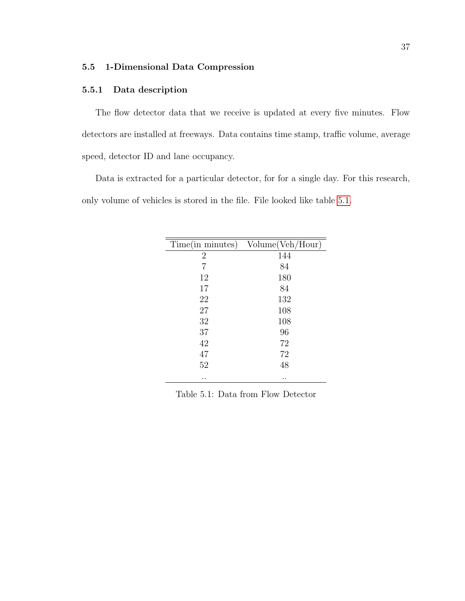# 5.5 1-Dimensional Data Compression

# 5.5.1 Data description

The flow detector data that we receive is updated at every five minutes. Flow detectors are installed at freeways. Data contains time stamp, traffic volume, average speed, detector ID and lane occupancy.

Data is extracted for a particular detector, for for a single day. For this research, only volume of vehicles is stored in the file. File looked like table [5.1.](#page-48-0)

| Time(in minutes) | Volume(Veh/Hour) |
|------------------|------------------|
| $\overline{2}$   | 144              |
| 7                | 84               |
| 12               | 180              |
| 17               | 84               |
| 22               | 132              |
| 27               | 108              |
| 32               | 108              |
| 37               | 96               |
| 42               | 72               |
| 47               | 72               |
| 52               | 48               |
| . .              | . .              |

<span id="page-48-0"></span>Table 5.1: Data from Flow Detector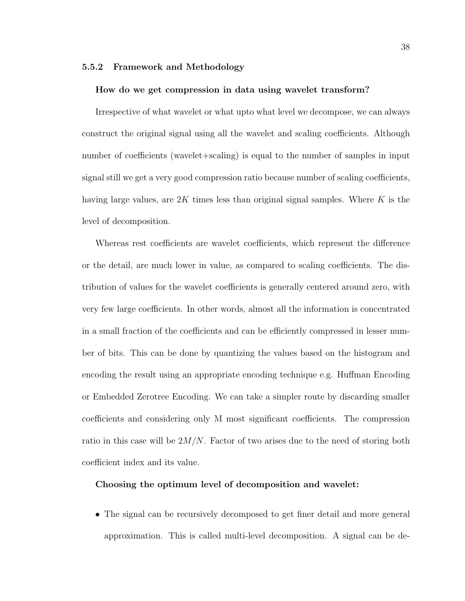#### 5.5.2 Framework and Methodology

#### How do we get compression in data using wavelet transform?

Irrespective of what wavelet or what upto what level we decompose, we can always construct the original signal using all the wavelet and scaling coefficients. Although number of coefficients (wavelet+scaling) is equal to the number of samples in input signal still we get a very good compression ratio because number of scaling coefficients, having large values, are  $2K$  times less than original signal samples. Where K is the level of decomposition.

Whereas rest coefficients are wavelet coefficients, which represent the difference or the detail, are much lower in value, as compared to scaling coefficients. The distribution of values for the wavelet coefficients is generally centered around zero, with very few large coefficients. In other words, almost all the information is concentrated in a small fraction of the coefficients and can be efficiently compressed in lesser number of bits. This can be done by quantizing the values based on the histogram and encoding the result using an appropriate encoding technique e.g. Huffman Encoding or Embedded Zerotree Encoding. We can take a simpler route by discarding smaller coefficients and considering only M most significant coefficients. The compression ratio in this case will be  $2M/N$ . Factor of two arises due to the need of storing both coefficient index and its value.

#### Choosing the optimum level of decomposition and wavelet:

• The signal can be recursively decomposed to get finer detail and more general approximation. This is called multi-level decomposition. A signal can be de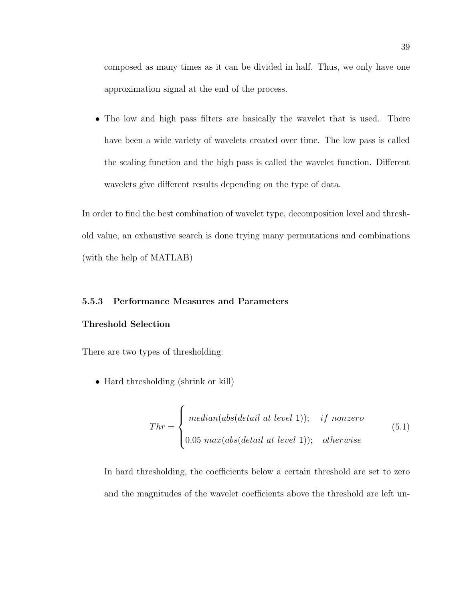composed as many times as it can be divided in half. Thus, we only have one approximation signal at the end of the process.

• The low and high pass filters are basically the wavelet that is used. There have been a wide variety of wavelets created over time. The low pass is called the scaling function and the high pass is called the wavelet function. Different wavelets give different results depending on the type of data.

In order to find the best combination of wavelet type, decomposition level and threshold value, an exhaustive search is done trying many permutations and combinations (with the help of MATLAB)

# 5.5.3 Performance Measures and Parameters

#### Threshold Selection

There are two types of thresholding:

• Hard thresholding (shrink or kill)

$$
Thr = \begin{cases} median(abs(detail at level 1)); & if nonzero \\ 0.05 max(abs(detail at level 1)); & otherwise \end{cases} \tag{5.1}
$$

In hard thresholding, the coefficients below a certain threshold are set to zero and the magnitudes of the wavelet coefficients above the threshold are left un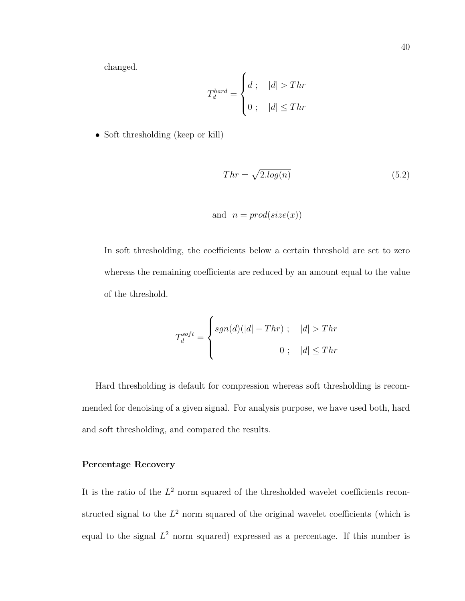changed.

$$
T_d^{hard} = \begin{cases} d; & |d| > Thr \\ 0; & |d| \le Thr \end{cases}
$$

• Soft thresholding (keep or kill)

$$
Thr = \sqrt{2.log(n)}\tag{5.2}
$$

and 
$$
n = prod(size(x))
$$

In soft thresholding, the coefficients below a certain threshold are set to zero whereas the remaining coefficients are reduced by an amount equal to the value of the threshold.

$$
T_d^{soft} = \begin{cases} sgn(d)(|d| - Thr) \; ; & |d| > Thr \\ 0 \; ; & |d| \leq Thr \end{cases}
$$

Hard thresholding is default for compression whereas soft thresholding is recommended for denoising of a given signal. For analysis purpose, we have used both, hard and soft thresholding, and compared the results.

# Percentage Recovery

It is the ratio of the  $L^2$  norm squared of the thresholded wavelet coefficients reconstructed signal to the  $L^2$  norm squared of the original wavelet coefficients (which is equal to the signal  $L^2$  norm squared) expressed as a percentage. If this number is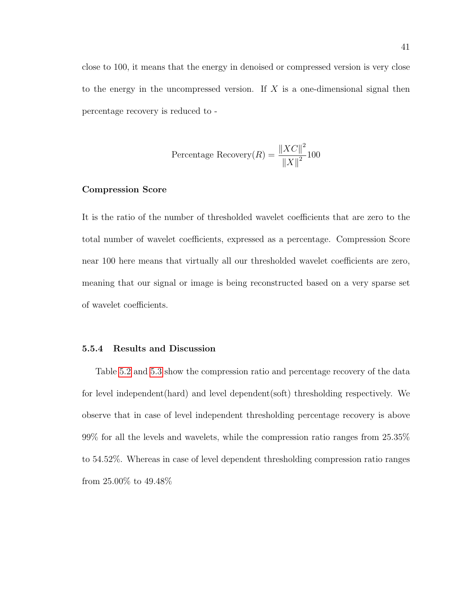close to 100, it means that the energy in denoised or compressed version is very close to the energy in the uncompressed version. If  $X$  is a one-dimensional signal then percentage recovery is reduced to -

Percentage Recovery(*R*) = 
$$
\frac{\|XC\|^2}{\|X\|^2}100
$$

# Compression Score

It is the ratio of the number of thresholded wavelet coefficients that are zero to the total number of wavelet coefficients, expressed as a percentage. Compression Score near 100 here means that virtually all our thresholded wavelet coefficients are zero, meaning that our signal or image is being reconstructed based on a very sparse set of wavelet coefficients.

#### 5.5.4 Results and Discussion

Table [5.2](#page-53-0) and [5.3](#page-54-0) show the compression ratio and percentage recovery of the data for level independent(hard) and level dependent(soft) thresholding respectively. We observe that in case of level independent thresholding percentage recovery is above 99% for all the levels and wavelets, while the compression ratio ranges from 25.35% to 54.52%. Whereas in case of level dependent thresholding compression ratio ranges from 25.00% to 49.48%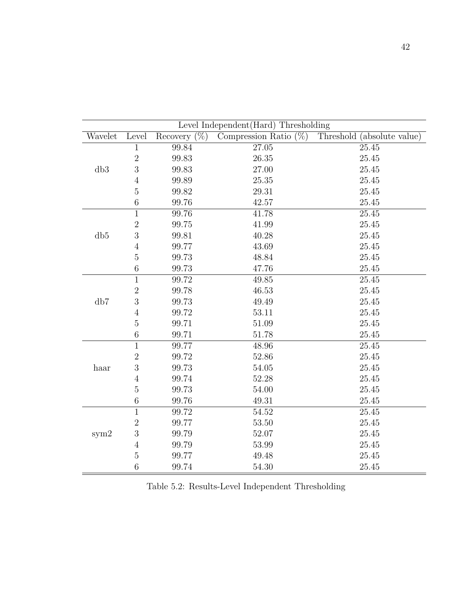| Level Independent (Hard) Thresholding |                |                    |                          |                            |  |  |  |
|---------------------------------------|----------------|--------------------|--------------------------|----------------------------|--|--|--|
| Wavelet                               | Level          | $(\%)$<br>Recovery | Compression Ratio $(\%)$ | Threshold (absolute value) |  |  |  |
|                                       | $\mathbf{1}$   | 99.84              | 27.05                    | 25.45                      |  |  |  |
| db3                                   | $\overline{2}$ | 99.83              | 26.35                    | 25.45                      |  |  |  |
|                                       | 3              | 99.83              | 27.00                    | 25.45                      |  |  |  |
|                                       | $\sqrt{4}$     | 99.89              | 25.35                    | 25.45                      |  |  |  |
|                                       | $\mathbf 5$    | 99.82              | 29.31                    | 25.45                      |  |  |  |
|                                       | $\,6$          | 99.76              | 42.57                    | 25.45                      |  |  |  |
|                                       | $\overline{1}$ | 99.76              | 41.78                    | 25.45                      |  |  |  |
|                                       | $\overline{2}$ | 99.75              | 41.99                    | 25.45                      |  |  |  |
| db5                                   | 3              | 99.81              | 40.28                    | 25.45                      |  |  |  |
|                                       | $\sqrt{4}$     | 99.77              | 43.69                    | 25.45                      |  |  |  |
|                                       | $\overline{5}$ | 99.73              | 48.84                    | 25.45                      |  |  |  |
|                                       | $\,6$          | 99.73              | 47.76                    | 25.45                      |  |  |  |
|                                       | $\mathbf{1}$   | 99.72              | 49.85                    | 25.45                      |  |  |  |
| db7                                   | $\overline{2}$ | 99.78              | 46.53                    | 25.45                      |  |  |  |
|                                       | 3              | 99.73              | 49.49                    | 25.45                      |  |  |  |
|                                       | $\,4\,$        | 99.72              | 53.11                    | 25.45                      |  |  |  |
|                                       | $\overline{5}$ | 99.71              | 51.09                    | 25.45                      |  |  |  |
|                                       | $\,6\,$        | 99.71              | 51.78                    | 25.45                      |  |  |  |
|                                       | $\mathbf{1}$   | 99.77              | 48.96                    | 25.45                      |  |  |  |
|                                       | $\overline{2}$ | 99.72              | 52.86                    | 25.45                      |  |  |  |
| haar                                  | 3              | 99.73              | 54.05                    | 25.45                      |  |  |  |
|                                       | $\sqrt{4}$     | 99.74              | 52.28                    | 25.45                      |  |  |  |
|                                       | $\bf 5$        | 99.73              | 54.00                    | 25.45                      |  |  |  |
|                                       | $\,6$          | 99.76              | 49.31                    | 25.45                      |  |  |  |
|                                       | $\overline{1}$ | 99.72              | 54.52                    | 25.45                      |  |  |  |
| sym2                                  | $\overline{2}$ | 99.77              | 53.50                    | 25.45                      |  |  |  |
|                                       | $\overline{3}$ | 99.79              | 52.07                    | 25.45                      |  |  |  |
|                                       | $\sqrt{4}$     | 99.79              | 53.99                    | 25.45                      |  |  |  |
|                                       | $\bf 5$        | 99.77              | 49.48                    | 25.45                      |  |  |  |
|                                       | $\sqrt{6}$     | 99.74              | 54.30                    | 25.45                      |  |  |  |

<span id="page-53-0"></span>Table 5.2: Results-Level Independent Thresholding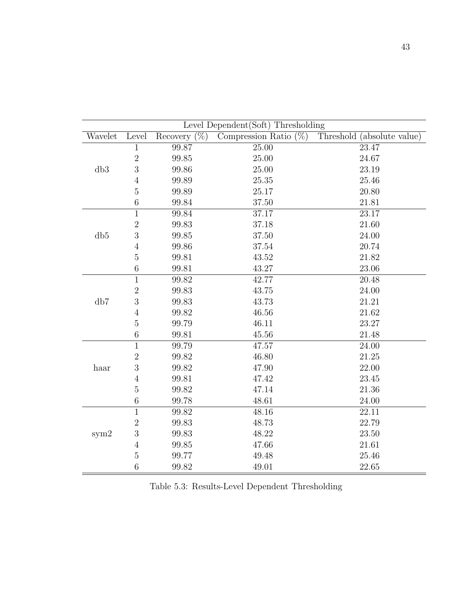| Level Dependent(Soft) Thresholding |                |                    |                          |                            |  |  |  |
|------------------------------------|----------------|--------------------|--------------------------|----------------------------|--|--|--|
| Wavelet                            | Level          | $(\%)$<br>Recovery | Compression Ratio $(\%)$ | Threshold (absolute value) |  |  |  |
|                                    | $\mathbf{1}$   | 99.87              | 25.00                    | 23.47                      |  |  |  |
| db3                                | $\overline{2}$ | 99.85              | 25.00                    | 24.67                      |  |  |  |
|                                    | 3              | 99.86              | 25.00                    | 23.19                      |  |  |  |
|                                    | $\sqrt{4}$     | 99.89              | 25.35                    | 25.46                      |  |  |  |
|                                    | $\bf 5$        | 99.89              | 25.17                    | 20.80                      |  |  |  |
|                                    | $\,$ 6 $\,$    | 99.84              | 37.50                    | 21.81                      |  |  |  |
|                                    | $\overline{1}$ | 99.84              | 37.17                    | 23.17                      |  |  |  |
|                                    | $\overline{2}$ | 99.83              | 37.18                    | 21.60                      |  |  |  |
| db5                                | 3              | 99.85              | 37.50                    | 24.00                      |  |  |  |
|                                    | $\sqrt{4}$     | 99.86              | 37.54                    | 20.74                      |  |  |  |
|                                    | $\overline{5}$ | 99.81              | 43.52                    | 21.82                      |  |  |  |
|                                    | $\,6$          | 99.81              | 43.27                    | 23.06                      |  |  |  |
|                                    | $\overline{1}$ | 99.82              | 42.77                    | 20.48                      |  |  |  |
| db7                                | $\overline{2}$ | 99.83              | 43.75                    | 24.00                      |  |  |  |
|                                    | 3              | 99.83              | 43.73                    | 21.21                      |  |  |  |
|                                    | $\sqrt{4}$     | 99.82              | 46.56                    | 21.62                      |  |  |  |
|                                    | $\overline{5}$ | 99.79              | 46.11                    | 23.27                      |  |  |  |
|                                    | $\,6$          | 99.81              | 45.56                    | 21.48                      |  |  |  |
|                                    | $\overline{1}$ | 99.79              | 47.57                    | 24.00                      |  |  |  |
|                                    | $\sqrt{2}$     | 99.82              | 46.80                    | 21.25                      |  |  |  |
| haar                               | 3              | 99.82              | 47.90                    | 22.00                      |  |  |  |
|                                    | $\sqrt{4}$     | 99.81              | 47.42                    | 23.45                      |  |  |  |
|                                    | $\bf 5$        | 99.82              | 47.14                    | 21.36                      |  |  |  |
|                                    | $\,6$          | 99.78              | 48.61                    | 24.00                      |  |  |  |
|                                    | $\mathbf{1}$   | 99.82              | 48.16                    | 22.11                      |  |  |  |
| sym2                               | $\overline{2}$ | 99.83              | 48.73                    | 22.79                      |  |  |  |
|                                    | $\sqrt{3}$     | 99.83              | 48.22                    | 23.50                      |  |  |  |
|                                    | $\sqrt{4}$     | 99.85              | 47.66                    | 21.61                      |  |  |  |
|                                    | $\overline{5}$ | 99.77              | 49.48                    | 25.46                      |  |  |  |
|                                    | $\sqrt{6}$     | 99.82              | 49.01                    | 22.65                      |  |  |  |

<span id="page-54-0"></span>Table 5.3: Results-Level Dependent Thresholding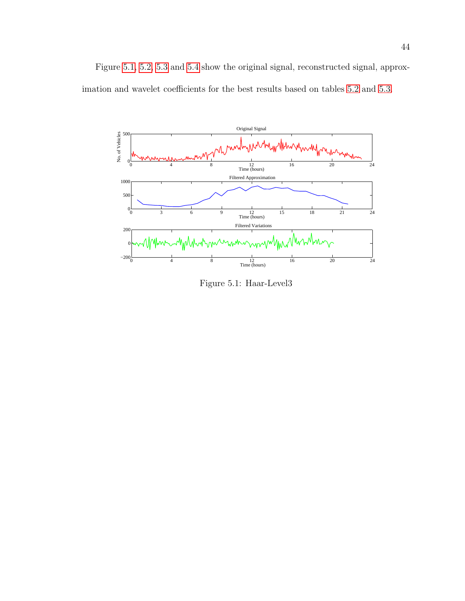Figure [5.1,](#page-55-0) [5.2,](#page-56-0) [5.3](#page-56-1) and [5.4](#page-56-2) show the original signal, reconstructed signal, approximation and wavelet coefficients for the best results based on tables [5.2](#page-53-0) and [5.3.](#page-54-0)



<span id="page-55-0"></span>Figure 5.1: Haar-Level3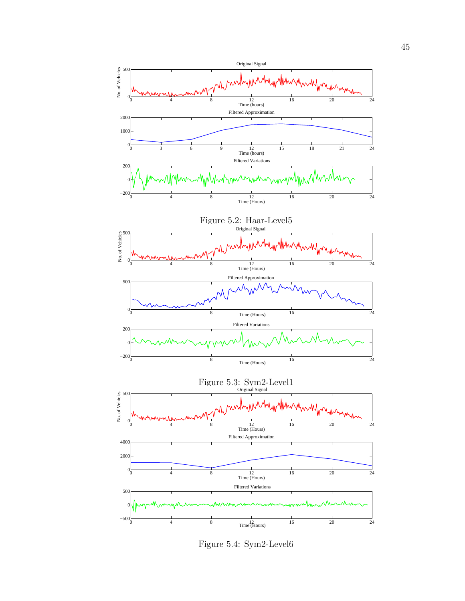<span id="page-56-0"></span>

<span id="page-56-2"></span><span id="page-56-1"></span>Figure 5.4: Sym2-Level6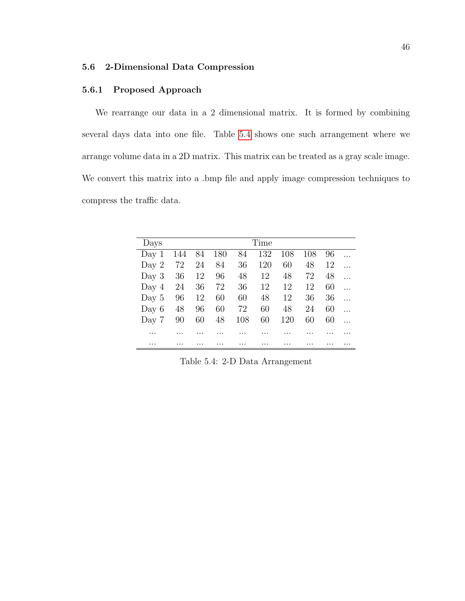# 5.6 2-Dimensional Data Compression

### 5.6.1 Proposed Approach

We rearrange our data in a 2 dimensional matrix. It is formed by combining several days data into one file. Table [5.4](#page-57-0) shows one such arrangement where we arrange volume data in a 2D matrix. This matrix can be treated as a gray scale image. We convert this matrix into a .bmp file and apply image compression techniques to compress the traffic data.

| Days    | Time |    |     |     |     |     |     |    |  |
|---------|------|----|-----|-----|-----|-----|-----|----|--|
| Day 1   | 144  | 84 | 180 | 84  | 132 | 108 | 108 | 96 |  |
| Day $2$ | 72   | 24 | 84  | 36  | 120 | 60  | 48  | 12 |  |
| Day $3$ | 36   | 12 | 96  | 48  | 12  | 48  | 72  | 48 |  |
| Day $4$ | 24   | 36 | 72  | 36  | 12  | 12  | 12  | 60 |  |
| Day $5$ | 96   | 12 | 60  | 60  | 48  | 12  | 36  | 36 |  |
| Day $6$ | 48   | 96 | 60  | 72  | 60  | 48  | 24  | 60 |  |
| Day 7   | 90   | 60 | 48  | 108 | 60  | 120 | 60  | 60 |  |
|         |      |    |     |     |     |     |     |    |  |
|         |      |    |     |     |     |     |     |    |  |

<span id="page-57-0"></span>Table 5.4: 2-D Data Arrangement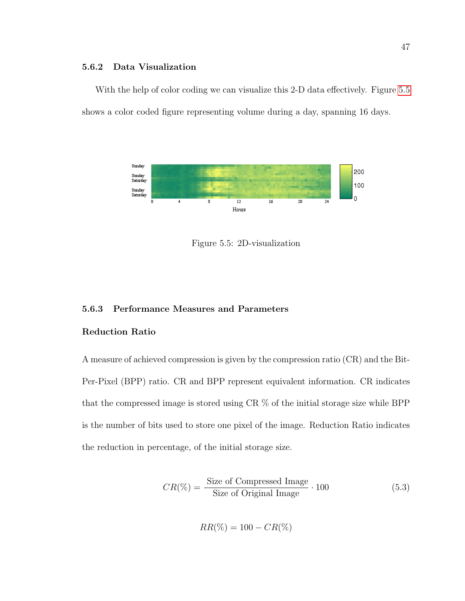# 5.6.2 Data Visualization

With the help of color coding we can visualize this 2-D data effectively. Figure [5.5](#page-58-0) shows a color coded figure representing volume during a day, spanning 16 days.



<span id="page-58-0"></span>Figure 5.5: 2D-visualization

# 5.6.3 Performance Measures and Parameters

# Reduction Ratio

A measure of achieved compression is given by the compression ratio (CR) and the Bit-Per-Pixel (BPP) ratio. CR and BPP represent equivalent information. CR indicates that the compressed image is stored using CR % of the initial storage size while BPP is the number of bits used to store one pixel of the image. Reduction Ratio indicates the reduction in percentage, of the initial storage size.

$$
CR(\%) = \frac{\text{Size of Compressed Image}}{\text{Size of Original Image}} \cdot 100 \tag{5.3}
$$

$$
RR(\%) = 100 - CR(\%)
$$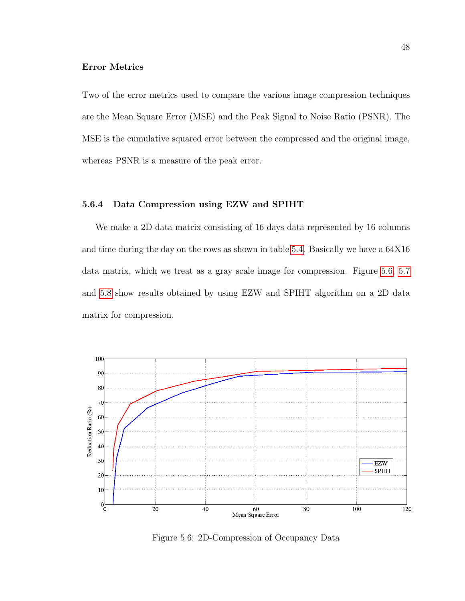# Error Metrics

Two of the error metrics used to compare the various image compression techniques are the Mean Square Error (MSE) and the Peak Signal to Noise Ratio (PSNR). The MSE is the cumulative squared error between the compressed and the original image, whereas PSNR is a measure of the peak error.

# 5.6.4 Data Compression using EZW and SPIHT

We make a 2D data matrix consisting of 16 days data represented by 16 columns and time during the day on the rows as shown in table [5.4.](#page-57-0) Basically we have a 64X16 data matrix, which we treat as a gray scale image for compression. Figure [5.6,](#page-59-0) [5.7](#page-60-0) and [5.8](#page-61-0) show results obtained by using EZW and SPIHT algorithm on a 2D data matrix for compression.



<span id="page-59-0"></span>Figure 5.6: 2D-Compression of Occupancy Data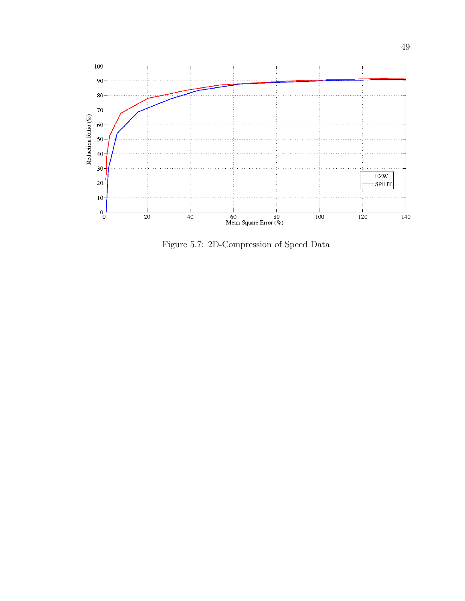

<span id="page-60-0"></span>Figure 5.7: 2D-Compression of Speed Data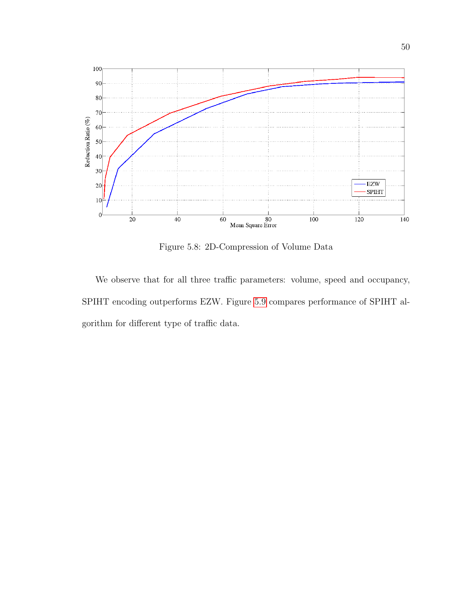

<span id="page-61-0"></span>Figure 5.8: 2D-Compression of Volume Data

We observe that for all three traffic parameters: volume, speed and occupancy, SPIHT encoding outperforms EZW. Figure [5.9](#page-62-0) compares performance of SPIHT algorithm for different type of traffic data.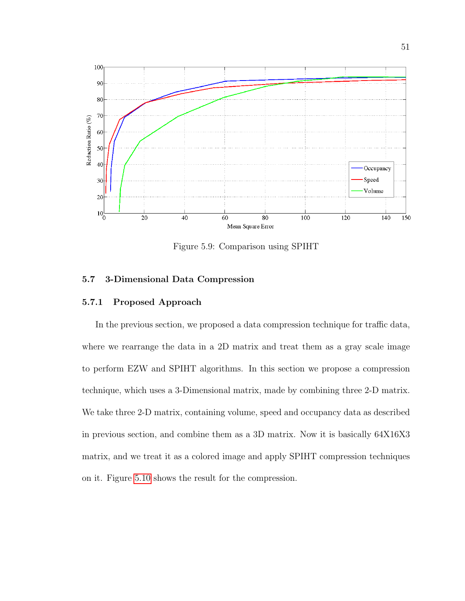

<span id="page-62-0"></span>Figure 5.9: Comparison using SPIHT

# 5.7 3-Dimensional Data Compression

# 5.7.1 Proposed Approach

In the previous section, we proposed a data compression technique for traffic data, where we rearrange the data in a 2D matrix and treat them as a gray scale image to perform EZW and SPIHT algorithms. In this section we propose a compression technique, which uses a 3-Dimensional matrix, made by combining three 2-D matrix. We take three 2-D matrix, containing volume, speed and occupancy data as described in previous section, and combine them as a 3D matrix. Now it is basically 64X16X3 matrix, and we treat it as a colored image and apply SPIHT compression techniques on it. Figure [5.10](#page-63-0) shows the result for the compression.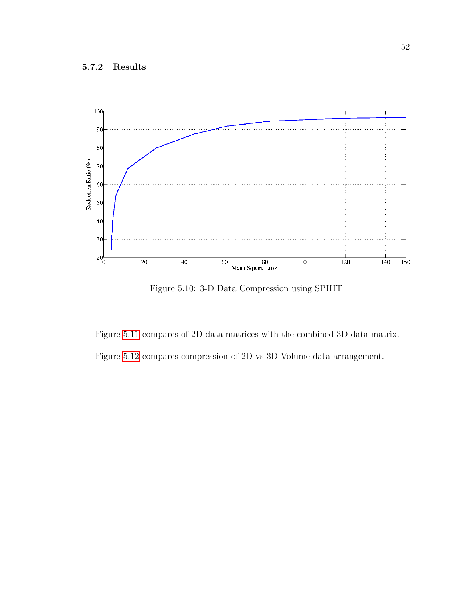

<span id="page-63-0"></span>Figure 5.10: 3-D Data Compression using SPIHT

Figure [5.11](#page-64-0) compares of 2D data matrices with the combined 3D data matrix.

Figure [5.12](#page-64-1) compares compression of 2D vs 3D Volume data arrangement.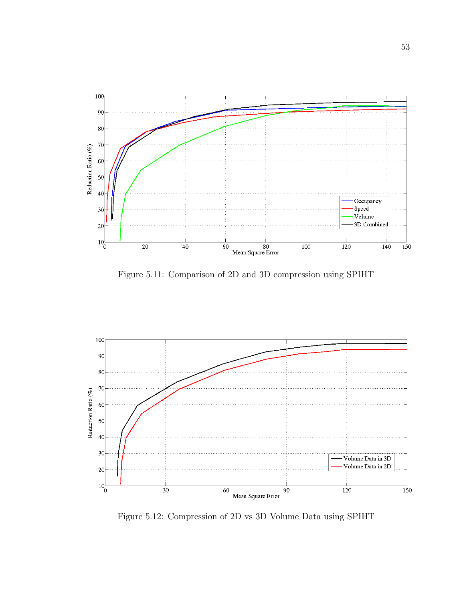

<span id="page-64-0"></span>Figure 5.11: Comparison of 2D and 3D compression using SPIHT



<span id="page-64-1"></span>Figure 5.12: Compression of 2D vs 3D Volume Data using SPIHT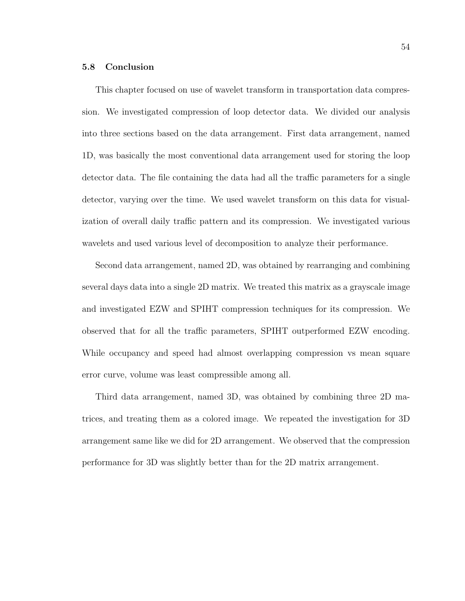### 5.8 Conclusion

This chapter focused on use of wavelet transform in transportation data compression. We investigated compression of loop detector data. We divided our analysis into three sections based on the data arrangement. First data arrangement, named 1D, was basically the most conventional data arrangement used for storing the loop detector data. The file containing the data had all the traffic parameters for a single detector, varying over the time. We used wavelet transform on this data for visualization of overall daily traffic pattern and its compression. We investigated various wavelets and used various level of decomposition to analyze their performance.

Second data arrangement, named 2D, was obtained by rearranging and combining several days data into a single 2D matrix. We treated this matrix as a grayscale image and investigated EZW and SPIHT compression techniques for its compression. We observed that for all the traffic parameters, SPIHT outperformed EZW encoding. While occupancy and speed had almost overlapping compression vs mean square error curve, volume was least compressible among all.

Third data arrangement, named 3D, was obtained by combining three 2D matrices, and treating them as a colored image. We repeated the investigation for 3D arrangement same like we did for 2D arrangement. We observed that the compression performance for 3D was slightly better than for the 2D matrix arrangement.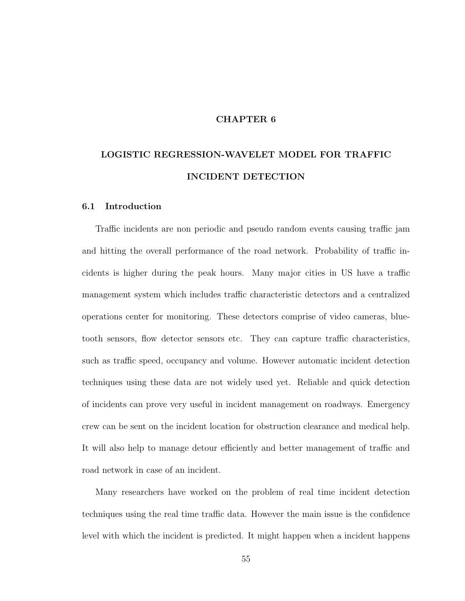### CHAPTER 6

# LOGISTIC REGRESSION-WAVELET MODEL FOR TRAFFIC INCIDENT DETECTION

#### 6.1 Introduction

Traffic incidents are non periodic and pseudo random events causing traffic jam and hitting the overall performance of the road network. Probability of traffic incidents is higher during the peak hours. Many major cities in US have a traffic management system which includes traffic characteristic detectors and a centralized operations center for monitoring. These detectors comprise of video cameras, bluetooth sensors, flow detector sensors etc. They can capture traffic characteristics, such as traffic speed, occupancy and volume. However automatic incident detection techniques using these data are not widely used yet. Reliable and quick detection of incidents can prove very useful in incident management on roadways. Emergency crew can be sent on the incident location for obstruction clearance and medical help. It will also help to manage detour efficiently and better management of traffic and road network in case of an incident.

Many researchers have worked on the problem of real time incident detection techniques using the real time traffic data. However the main issue is the confidence level with which the incident is predicted. It might happen when a incident happens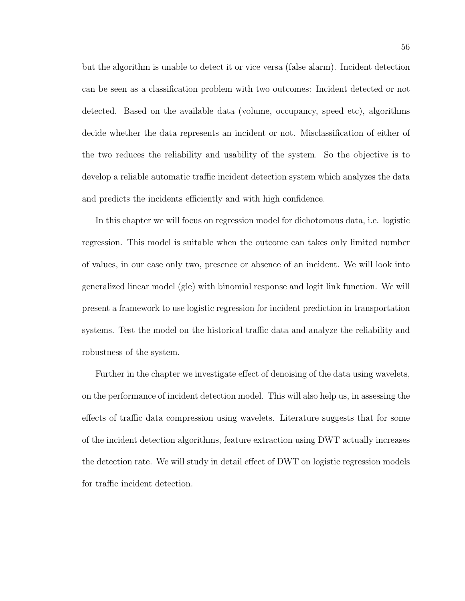but the algorithm is unable to detect it or vice versa (false alarm). Incident detection can be seen as a classification problem with two outcomes: Incident detected or not detected. Based on the available data (volume, occupancy, speed etc), algorithms decide whether the data represents an incident or not. Misclassification of either of the two reduces the reliability and usability of the system. So the objective is to develop a reliable automatic traffic incident detection system which analyzes the data and predicts the incidents efficiently and with high confidence.

In this chapter we will focus on regression model for dichotomous data, i.e. logistic regression. This model is suitable when the outcome can takes only limited number of values, in our case only two, presence or absence of an incident. We will look into generalized linear model (gle) with binomial response and logit link function. We will present a framework to use logistic regression for incident prediction in transportation systems. Test the model on the historical traffic data and analyze the reliability and robustness of the system.

Further in the chapter we investigate effect of denoising of the data using wavelets, on the performance of incident detection model. This will also help us, in assessing the effects of traffic data compression using wavelets. Literature suggests that for some of the incident detection algorithms, feature extraction using DWT actually increases the detection rate. We will study in detail effect of DWT on logistic regression models for traffic incident detection.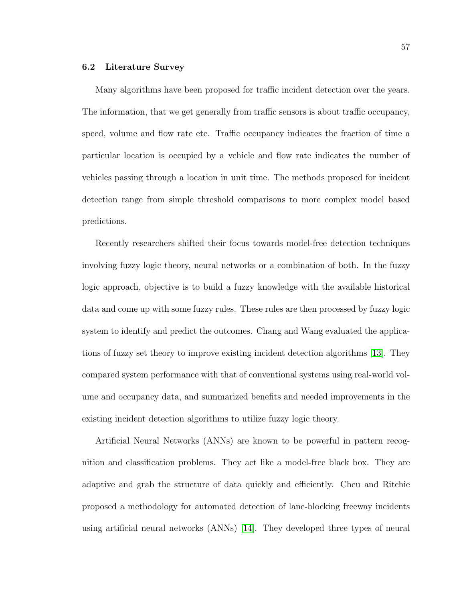#### 6.2 Literature Survey

Many algorithms have been proposed for traffic incident detection over the years. The information, that we get generally from traffic sensors is about traffic occupancy, speed, volume and flow rate etc. Traffic occupancy indicates the fraction of time a particular location is occupied by a vehicle and flow rate indicates the number of vehicles passing through a location in unit time. The methods proposed for incident detection range from simple threshold comparisons to more complex model based predictions.

Recently researchers shifted their focus towards model-free detection techniques involving fuzzy logic theory, neural networks or a combination of both. In the fuzzy logic approach, objective is to build a fuzzy knowledge with the available historical data and come up with some fuzzy rules. These rules are then processed by fuzzy logic system to identify and predict the outcomes. Chang and Wang evaluated the applications of fuzzy set theory to improve existing incident detection algorithms [\[13\]](#page-96-5). They compared system performance with that of conventional systems using real-world volume and occupancy data, and summarized benefits and needed improvements in the existing incident detection algorithms to utilize fuzzy logic theory.

Artificial Neural Networks (ANNs) are known to be powerful in pattern recognition and classification problems. They act like a model-free black box. They are adaptive and grab the structure of data quickly and efficiently. Cheu and Ritchie proposed a methodology for automated detection of lane-blocking freeway incidents using artificial neural networks (ANNs) [\[14\]](#page-96-6). They developed three types of neural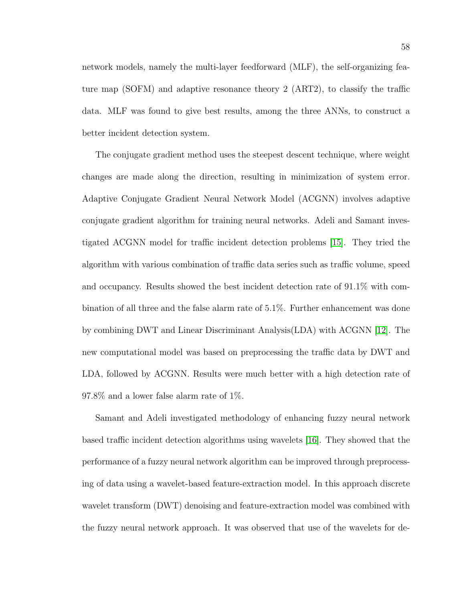network models, namely the multi-layer feedforward (MLF), the self-organizing feature map (SOFM) and adaptive resonance theory 2 (ART2), to classify the traffic data. MLF was found to give best results, among the three ANNs, to construct a better incident detection system.

The conjugate gradient method uses the steepest descent technique, where weight changes are made along the direction, resulting in minimization of system error. Adaptive Conjugate Gradient Neural Network Model (ACGNN) involves adaptive conjugate gradient algorithm for training neural networks. Adeli and Samant investigated ACGNN model for traffic incident detection problems [\[15\]](#page-96-7). They tried the algorithm with various combination of traffic data series such as traffic volume, speed and occupancy. Results showed the best incident detection rate of 91.1% with combination of all three and the false alarm rate of 5.1%. Further enhancement was done by combining DWT and Linear Discriminant Analysis(LDA) with ACGNN [\[12\]](#page-95-1). The new computational model was based on preprocessing the traffic data by DWT and LDA, followed by ACGNN. Results were much better with a high detection rate of 97.8% and a lower false alarm rate of 1%.

Samant and Adeli investigated methodology of enhancing fuzzy neural network based traffic incident detection algorithms using wavelets [\[16\]](#page-96-8). They showed that the performance of a fuzzy neural network algorithm can be improved through preprocessing of data using a wavelet-based feature-extraction model. In this approach discrete wavelet transform (DWT) denoising and feature-extraction model was combined with the fuzzy neural network approach. It was observed that use of the wavelets for de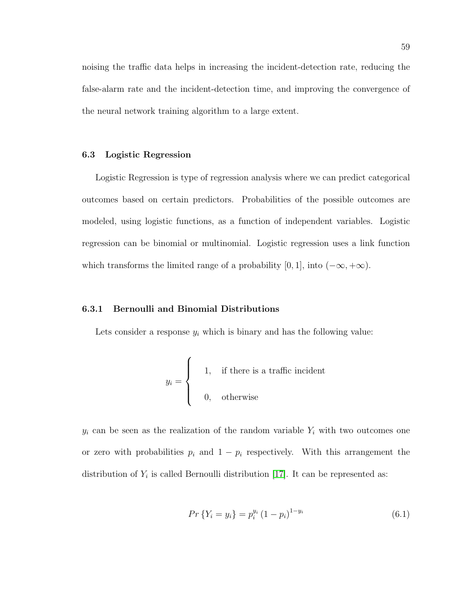noising the traffic data helps in increasing the incident-detection rate, reducing the false-alarm rate and the incident-detection time, and improving the convergence of the neural network training algorithm to a large extent.

#### 6.3 Logistic Regression

Logistic Regression is type of regression analysis where we can predict categorical outcomes based on certain predictors. Probabilities of the possible outcomes are modeled, using logistic functions, as a function of independent variables. Logistic regression can be binomial or multinomial. Logistic regression uses a link function which transforms the limited range of a probability [0, 1], into  $(-\infty, +\infty)$ .

## 6.3.1 Bernoulli and Binomial Distributions

Lets consider a response  $y_i$  which is binary and has the following value:

$$
y_i = \begin{cases} 1, & \text{if there is a traffic incident} \\ 0, & \text{otherwise} \end{cases}
$$

 $y_i$  can be seen as the realization of the random variable  $Y_i$  with two outcomes one or zero with probabilities  $p_i$  and  $1 - p_i$  respectively. With this arrangement the distribution of  $Y_i$  is called Bernoulli distribution [\[17\]](#page-96-9). It can be represented as:

$$
Pr\left\{Y_i = y_i\right\} = p_i^{y_i} \left(1 - p_i\right)^{1 - y_i} \tag{6.1}
$$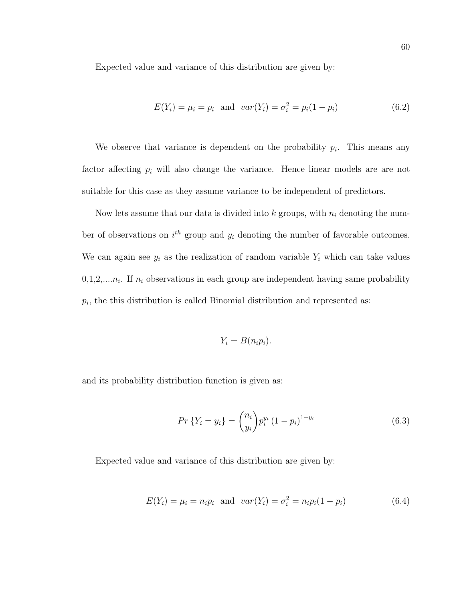Expected value and variance of this distribution are given by:

$$
E(Y_i) = \mu_i = p_i \text{ and } var(Y_i) = \sigma_i^2 = p_i(1 - p_i)
$$
\n(6.2)

We observe that variance is dependent on the probability  $p_i$ . This means any factor affecting  $p_i$  will also change the variance. Hence linear models are are not suitable for this case as they assume variance to be independent of predictors.

Now lets assume that our data is divided into  $k$  groups, with  $n_i$  denoting the number of observations on  $i<sup>th</sup>$  group and  $y<sub>i</sub>$  denoting the number of favorable outcomes. We can again see  $y_i$  as the realization of random variable  $Y_i$  which can take values  $0,1,2,...n_i$ . If  $n_i$  observations in each group are independent having same probability  $p_i$ , the this distribution is called Binomial distribution and represented as:

$$
Y_i = B(n_i p_i).
$$

and its probability distribution function is given as:

$$
Pr\left\{Y_i = y_i\right\} = \binom{n_i}{y_i} p_i^{y_i} \left(1 - p_i\right)^{1 - y_i} \tag{6.3}
$$

Expected value and variance of this distribution are given by:

$$
E(Y_i) = \mu_i = n_i p_i \text{ and } var(Y_i) = \sigma_i^2 = n_i p_i (1 - p_i)
$$
\n(6.4)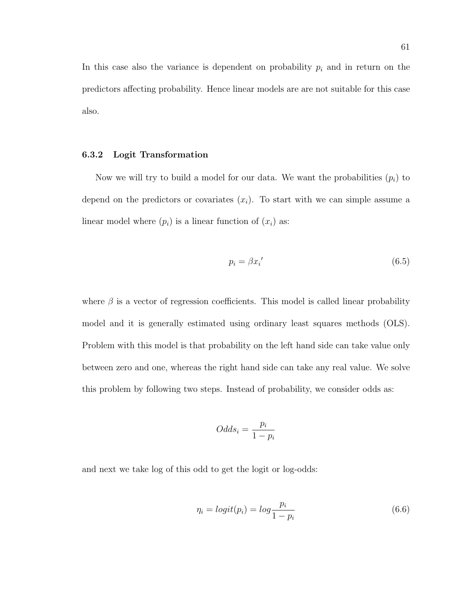In this case also the variance is dependent on probability  $p_i$  and in return on the predictors affecting probability. Hence linear models are are not suitable for this case also.

# 6.3.2 Logit Transformation

Now we will try to build a model for our data. We want the probabilities  $(p_i)$  to depend on the predictors or covariates  $(x_i)$ . To start with we can simple assume a linear model where  $(p_i)$  is a linear function of  $(x_i)$  as:

$$
p_i = \beta x_i' \tag{6.5}
$$

where  $\beta$  is a vector of regression coefficients. This model is called linear probability model and it is generally estimated using ordinary least squares methods (OLS). Problem with this model is that probability on the left hand side can take value only between zero and one, whereas the right hand side can take any real value. We solve this problem by following two steps. Instead of probability, we consider odds as:

$$
Odds_i = \frac{p_i}{1 - p_i}
$$

and next we take log of this odd to get the logit or log-odds:

$$
\eta_i = logit(p_i) = log\frac{p_i}{1 - p_i} \tag{6.6}
$$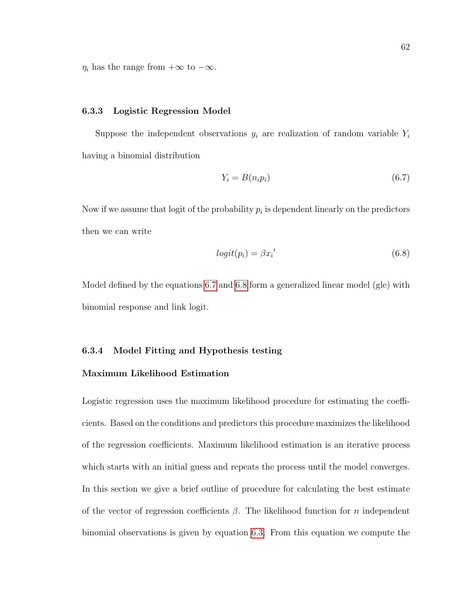$\eta_i$  has the range from  $+\infty$  to  $-\infty$ .

#### 6.3.3 Logistic Regression Model

Suppose the independent observations  $y_i$  are realization of random variable  $Y_i$ having a binomial distribution

<span id="page-73-0"></span>
$$
Y_i = B(n_i p_i) \tag{6.7}
$$

Now if we assume that logit of the probability  $p_i$  is dependent linearly on the predictors then we can write

<span id="page-73-1"></span>
$$
logit(p_i) = \beta x_i'
$$
\n(6.8)

Model defined by the equations [6.7](#page-73-0) and [6.8](#page-73-1) form a generalized linear model (gle) with binomial response and link logit.

# 6.3.4 Model Fitting and Hypothesis testing

# Maximum Likelihood Estimation

Logistic regression uses the maximum likelihood procedure for estimating the coefficients. Based on the conditions and predictors this procedure maximizes the likelihood of the regression coefficients. Maximum likelihood estimation is an iterative process which starts with an initial guess and repeats the process until the model converges. In this section we give a brief outline of procedure for calculating the best estimate of the vector of regression coefficients  $\beta$ . The likelihood function for n independent binomial observations is given by equation [6.3.](#page-71-0) From this equation we compute the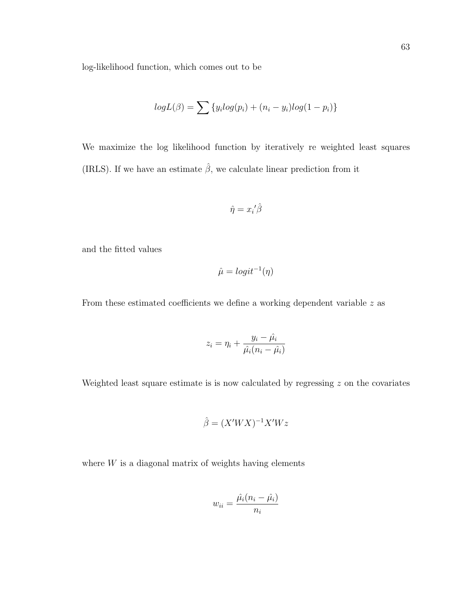log-likelihood function, which comes out to be

$$
logL(\beta) = \sum \{y_i log(p_i) + (n_i - y_i) log(1 - p_i)\}\
$$

We maximize the log likelihood function by iteratively re weighted least squares (IRLS). If we have an estimate  $\hat{\beta}$ , we calculate linear prediction from it

$$
\hat{\eta} = x_i{}' \hat{\beta}
$$

and the fitted values

$$
\hat{\mu} = logit^{-1}(\eta)
$$

From these estimated coefficients we define a working dependent variable z as

$$
z_i = \eta_i + \frac{y_i - \hat{\mu}_i}{\hat{\mu}_i(n_i - \hat{\mu}_i)}
$$

Weighted least square estimate is is now calculated by regressing  $z$  on the covariates

$$
\hat{\beta} = (X'WX)^{-1}X'Wz
$$

where  $W$  is a diagonal matrix of weights having elements

$$
w_{ii} = \frac{\hat{\mu_i}(n_i - \hat{\mu_i})}{n_i}
$$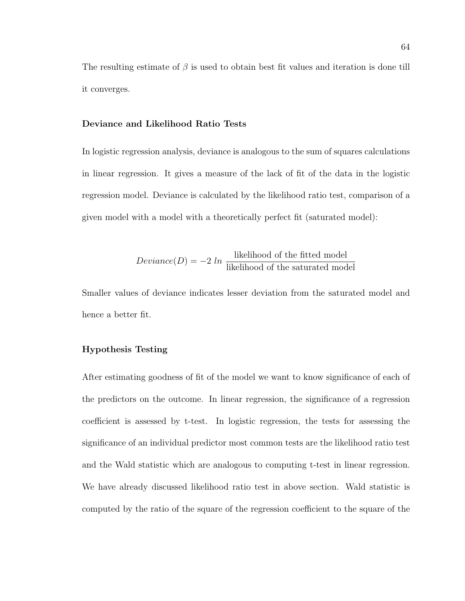The resulting estimate of  $\beta$  is used to obtain best fit values and iteration is done till it converges.

### Deviance and Likelihood Ratio Tests

In logistic regression analysis, deviance is analogous to the sum of squares calculations in linear regression. It gives a measure of the lack of fit of the data in the logistic regression model. Deviance is calculated by the likelihood ratio test, comparison of a given model with a model with a theoretically perfect fit (saturated model):

$$
Deviance(D) = -2 ln \frac{likelihood of the fitted model}{likelihood of the saturated model}
$$

Smaller values of deviance indicates lesser deviation from the saturated model and hence a better fit.

# Hypothesis Testing

After estimating goodness of fit of the model we want to know significance of each of the predictors on the outcome. In linear regression, the significance of a regression coefficient is assessed by t-test. In logistic regression, the tests for assessing the significance of an individual predictor most common tests are the likelihood ratio test and the Wald statistic which are analogous to computing t-test in linear regression. We have already discussed likelihood ratio test in above section. Wald statistic is computed by the ratio of the square of the regression coefficient to the square of the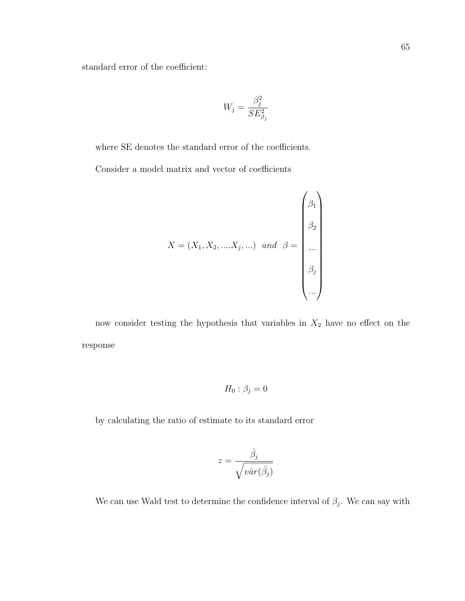standard error of the coefficient:

$$
W_j = \frac{\beta_j^2}{SE_{\beta_j}^2}
$$

where SE denotes the standard error of the coefficients. Consider a model matrix and vector of coefficients

$$
X = (X_1, X_2, \dots, X_j, \dots) \quad and \quad \beta = \begin{pmatrix} \beta_1 \\ \beta_2 \\ \dots \\ \beta_j \\ \dots \end{pmatrix}
$$

now consider testing the hypothesis that variables in  $X_2$  have no effect on the response

$$
H_0: \beta_j = 0
$$

by calculating the ratio of estimate to its standard error

$$
z = \frac{\hat{\beta}_j}{\sqrt{v \hat{a} r(\hat{\beta}_j)}}
$$

We can use Wald test to determine the confidence interval of  $\beta_j$ . We can say with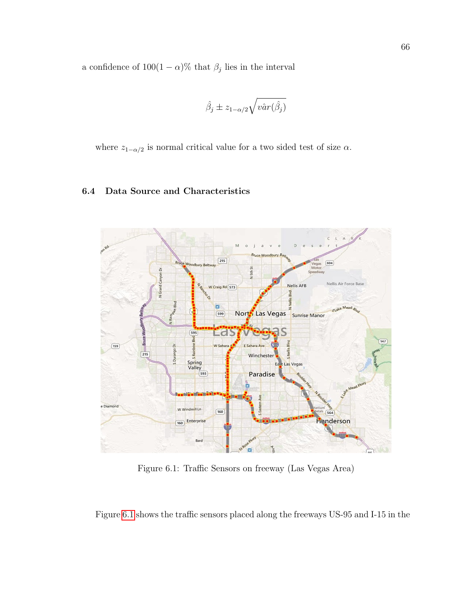a confidence of  $100(1 - \alpha)$ % that  $\beta_j$  lies in the interval

$$
\hat{\beta}_j \pm z_{1-\alpha/2} \sqrt{v \hat{a} r(\hat{\beta}_j)}
$$

where  $z_{1-\alpha/2}$  is normal critical value for a two sided test of size  $\alpha$ .

# 6.4 Data Source and Characteristics



<span id="page-77-0"></span>Figure 6.1: Traffic Sensors on freeway (Las Vegas Area)

Figure [6.1](#page-77-0) shows the traffic sensors placed along the freeways US-95 and I-15 in the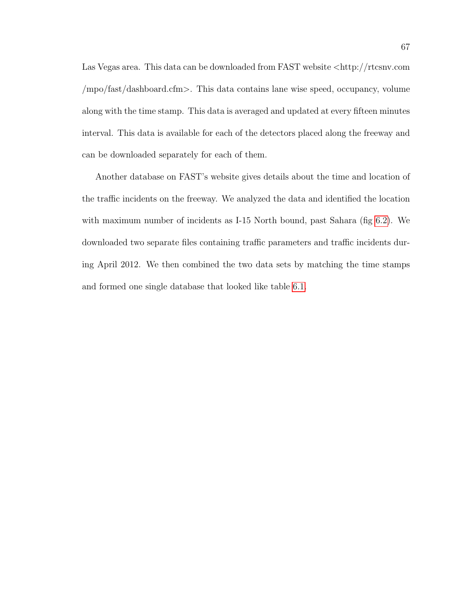Las Vegas area. This data can be downloaded from FAST website <http://rtcsnv.com /mpo/fast/dashboard.cfm>. This data contains lane wise speed, occupancy, volume along with the time stamp. This data is averaged and updated at every fifteen minutes interval. This data is available for each of the detectors placed along the freeway and can be downloaded separately for each of them.

Another database on FAST's website gives details about the time and location of the traffic incidents on the freeway. We analyzed the data and identified the location with maximum number of incidents as I-15 North bound, past Sahara (fig [6.2\)](#page-80-0). We downloaded two separate files containing traffic parameters and traffic incidents during April 2012. We then combined the two data sets by matching the time stamps and formed one single database that looked like table [6.1.](#page-79-0)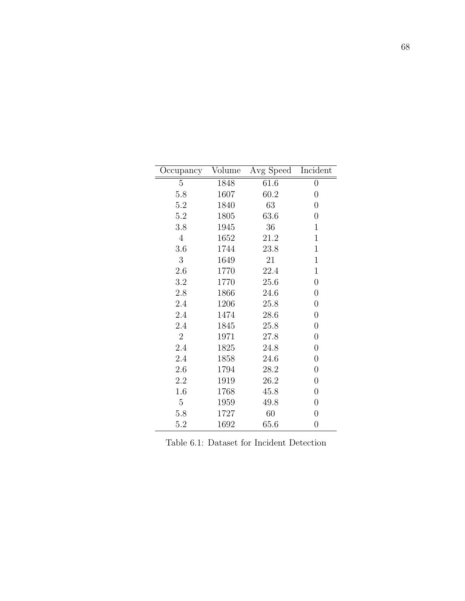| Occupancy      | Volume | Avg Speed | Incident         |
|----------------|--------|-----------|------------------|
| 5              | 1848   | 61.6      | $\boldsymbol{0}$ |
| 5.8            | 1607   | 60.2      | $\boldsymbol{0}$ |
| 5.2            | 1840   | 63        | $\overline{0}$   |
| 5.2            | 1805   | 63.6      | $\boldsymbol{0}$ |
| 3.8            | 1945   | 36        | 1                |
| $\overline{4}$ | 1652   | 21.2      | 1                |
| 3.6            | 1744   | 23.8      | 1                |
| 3              | 1649   | 21        | $\mathbf 1$      |
| 2.6            | 1770   | 22.4      | 1                |
| 3.2            | 1770   | 25.6      | $\boldsymbol{0}$ |
| 2.8            | 1866   | 24.6      | $\boldsymbol{0}$ |
| 2.4            | 1206   | 25.8      | $\overline{0}$   |
| 2.4            | 1474   | 28.6      | $\boldsymbol{0}$ |
| 2.4            | 1845   | 25.8      | $\overline{0}$   |
| $\overline{2}$ | 1971   | 27.8      | $\boldsymbol{0}$ |
| 2.4            | 1825   | 24.8      | $\boldsymbol{0}$ |
| 2.4            | 1858   | 24.6      | $\overline{0}$   |
| 2.6            | 1794   | 28.2      | $\boldsymbol{0}$ |
| 2.2            | 1919   | 26.2      | $\boldsymbol{0}$ |
| 1.6            | 1768   | 45.8      | $\boldsymbol{0}$ |
| 5              | 1959   | 49.8      | $\boldsymbol{0}$ |
| 5.8            | 1727   | 60        | $\boldsymbol{0}$ |
| 5.2            | 1692   | 65.6      | $\boldsymbol{0}$ |

<span id="page-79-0"></span>Table 6.1: Dataset for Incident Detection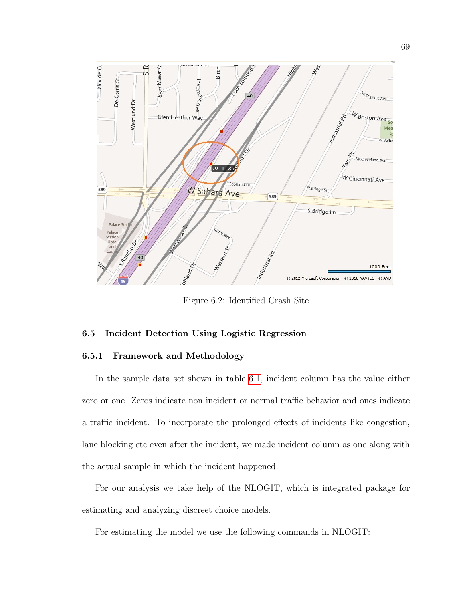

<span id="page-80-0"></span>Figure 6.2: Identified Crash Site

# 6.5 Incident Detection Using Logistic Regression

### 6.5.1 Framework and Methodology

In the sample data set shown in table [6.1,](#page-79-0) incident column has the value either zero or one. Zeros indicate non incident or normal traffic behavior and ones indicate a traffic incident. To incorporate the prolonged effects of incidents like congestion, lane blocking etc even after the incident, we made incident column as one along with the actual sample in which the incident happened.

For our analysis we take help of the NLOGIT, which is integrated package for estimating and analyzing discreet choice models.

For estimating the model we use the following commands in NLOGIT: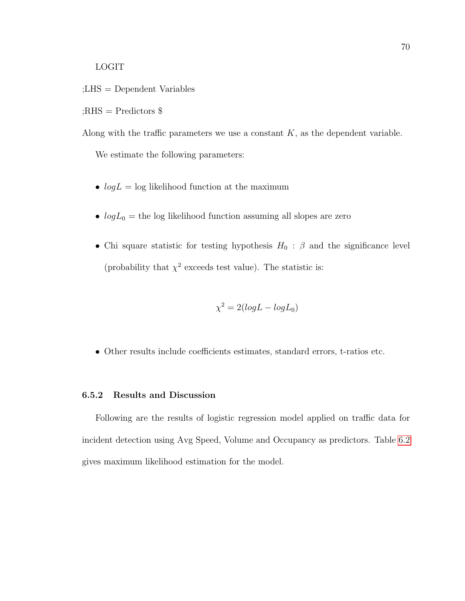LOGIT

;LHS = Dependent Variables

;<br>RHS = Predictors  $\$$ 

Along with the traffic parameters we use a constant  $K$ , as the dependent variable.

We estimate the following parameters:

- $log L = log$  likelihood function at the maximum
- $log L_0$  = the log likelihood function assuming all slopes are zero
- Chi square statistic for testing hypothesis  $H_0$ :  $\beta$  and the significance level (probability that  $\chi^2$  exceeds test value). The statistic is:

$$
\chi^2 = 2(logL - logL_0)
$$

• Other results include coefficients estimates, standard errors, t-ratios etc.

#### 6.5.2 Results and Discussion

Following are the results of logistic regression model applied on traffic data for incident detection using Avg Speed, Volume and Occupancy as predictors. Table [6.2](#page-82-0) gives maximum likelihood estimation for the model.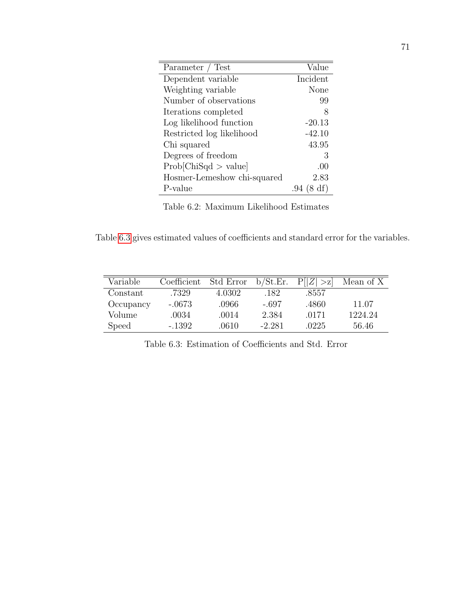| Parameter / Test            | Value         |
|-----------------------------|---------------|
| Dependent variable          | Incident      |
| Weighting variable          | None          |
| Number of observations      | 99            |
| Iterations completed        | 8             |
| Log likelihood function     | $-20.13$      |
| Restricted log likelihood   | $-42.10$      |
| Chi squared                 | 43.95         |
| Degrees of freedom          | 3             |
| Prob[ChiSqd > value]        | .00           |
| Hosmer-Lemeshow chi-squared | 2.83          |
| P-value                     | (8 df)<br>.94 |

<span id="page-82-0"></span>Table 6.2: Maximum Likelihood Estimates

Table [6.3](#page-82-1) gives estimated values of coefficients and standard error for the variables.

| Variable  | Coefficient | Std Error | b/St.Er. | P[ Z ]<br>$\leq$ | Mean of X |
|-----------|-------------|-----------|----------|------------------|-----------|
| Constant  | .7329       | 4.0302    | .182     | .8557            |           |
| Occupancy | $-.0673$    | .0966     | -.697    | .4860            | 11.07     |
| Volume    | .0034       | .0014     | 2.384    | .0171            | 1224.24   |
| Speed     | $-1392$     | .0610     | $-2.281$ | .0225            | 56.46     |

<span id="page-82-1"></span>Table 6.3: Estimation of Coefficients and Std. Error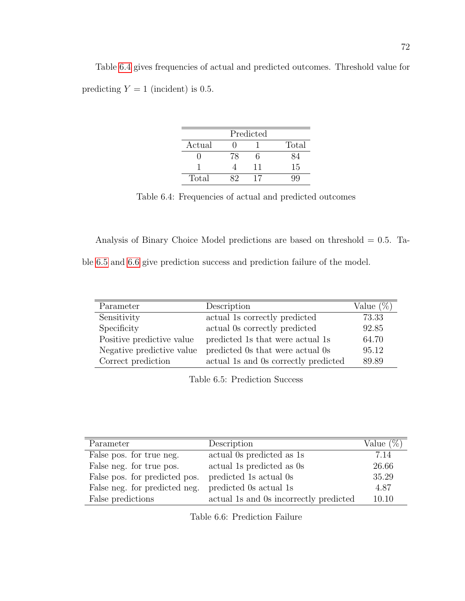Table [6.4](#page-83-0) gives frequencies of actual and predicted outcomes. Threshold value for predicting  $Y = 1$  (incident) is 0.5.

| Predicted |    |    |       |  |
|-----------|----|----|-------|--|
| Actual    |    |    | Total |  |
|           | 78 |    |       |  |
|           |    | 11 | 15    |  |
| Total     |    |    |       |  |

<span id="page-83-0"></span>Table 6.4: Frequencies of actual and predicted outcomes

Analysis of Binary Choice Model predictions are based on threshold  $= 0.5$ . Ta-

ble [6.5](#page-83-1) and [6.6](#page-83-2) give prediction success and prediction failure of the model.

| Parameter                 | Description                          | Value $(\%)$ |
|---------------------------|--------------------------------------|--------------|
| Sensitivity               | actual 1s correctly predicted        | 73.33        |
| Specificity               | actual 0s correctly predicted        | 92.85        |
| Positive predictive value | predicted 1s that were actual 1s     | 64.70        |
| Negative predictive value | predicted 0s that were actual 0s     | 95.12        |
| Correct prediction        | actual 1s and 0s correctly predicted | 89.89        |

<span id="page-83-1"></span>Table 6.5: Prediction Success

| Parameter                     | Description                            | Value $(\%)$ |
|-------------------------------|----------------------------------------|--------------|
| False pos. for true neg.      | actual 0s predicted as 1s              | 7.14         |
| False neg. for true pos.      | actual 1s predicted as 0s              | 26.66        |
| False pos. for predicted pos. | predicted 1s actual 0s                 | 35.29        |
| False neg. for predicted neg. | predicted 0s actual 1s                 | 4.87         |
| False predictions             | actual 1s and 0s incorrectly predicted | 10.10        |

<span id="page-83-2"></span>Table 6.6: Prediction Failure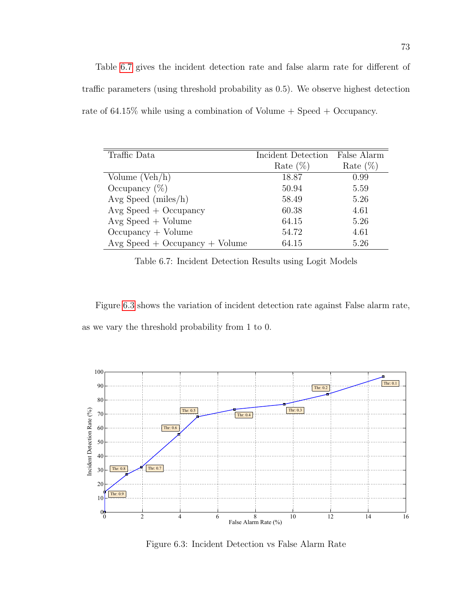Table [6.7](#page-84-0) gives the incident detection rate and false alarm rate for different of traffic parameters (using threshold probability as 0.5). We observe highest detection rate of  $64.15\%$  while using a combination of Volume  $+$  Speed  $+$  Occupancy.

| Traffic Data                     | Incident Detection | False Alarm |
|----------------------------------|--------------------|-------------|
|                                  |                    |             |
|                                  | Rate $(\%)$        | Rate $(\%)$ |
| Volume $(Veh/h)$                 | 18.87              | 0.99        |
| Occupancy $(\%)$                 | 50.94              | 5.59        |
| Avg Speed (miles/h)              | 58.49              | 5.26        |
| $Avg Speed + Occupancy$          | 60.38              | 4.61        |
| $Avg Speed + Volume$             | 64.15              | 5.26        |
| $Occupancy + Volume$             | 54.72              | 4.61        |
| $Avg Speed + Occupancy + Volume$ | 64.15              | 5.26        |

<span id="page-84-0"></span>Table 6.7: Incident Detection Results using Logit Models

Figure [6.3](#page-84-1) shows the variation of incident detection rate against False alarm rate, as we vary the threshold probability from 1 to 0.



<span id="page-84-1"></span>Figure 6.3: Incident Detection vs False Alarm Rate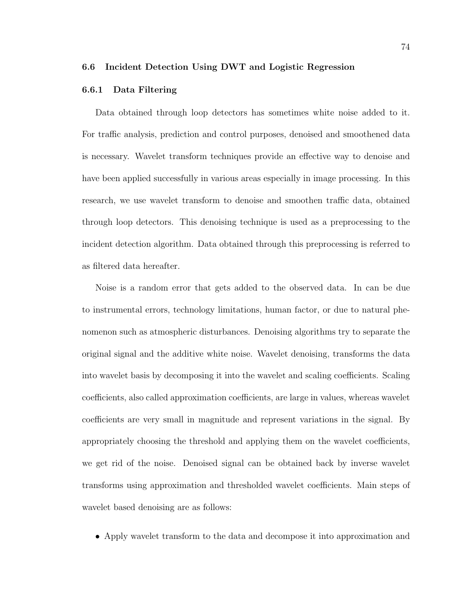### 6.6 Incident Detection Using DWT and Logistic Regression

### 6.6.1 Data Filtering

Data obtained through loop detectors has sometimes white noise added to it. For traffic analysis, prediction and control purposes, denoised and smoothened data is necessary. Wavelet transform techniques provide an effective way to denoise and have been applied successfully in various areas especially in image processing. In this research, we use wavelet transform to denoise and smoothen traffic data, obtained through loop detectors. This denoising technique is used as a preprocessing to the incident detection algorithm. Data obtained through this preprocessing is referred to as filtered data hereafter.

Noise is a random error that gets added to the observed data. In can be due to instrumental errors, technology limitations, human factor, or due to natural phenomenon such as atmospheric disturbances. Denoising algorithms try to separate the original signal and the additive white noise. Wavelet denoising, transforms the data into wavelet basis by decomposing it into the wavelet and scaling coefficients. Scaling coefficients, also called approximation coefficients, are large in values, whereas wavelet coefficients are very small in magnitude and represent variations in the signal. By appropriately choosing the threshold and applying them on the wavelet coefficients, we get rid of the noise. Denoised signal can be obtained back by inverse wavelet transforms using approximation and thresholded wavelet coefficients. Main steps of wavelet based denoising are as follows:

• Apply wavelet transform to the data and decompose it into approximation and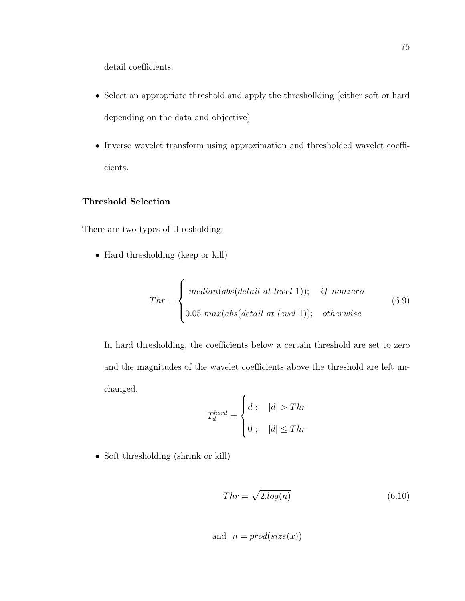detail coefficients.

- Select an appropriate threshold and apply the threshollding (either soft or hard depending on the data and objective)
- Inverse wavelet transform using approximation and thresholded wavelet coefficients.

# Threshold Selection

There are two types of thresholding:

• Hard thresholding (keep or kill)

$$
Thr = \begin{cases} median(abs(detail at level 1)); & if nonzero \\ 0.05 max(abs(detail at level 1)); & otherwise \end{cases} \tag{6.9}
$$

In hard thresholding, the coefficients below a certain threshold are set to zero and the magnitudes of the wavelet coefficients above the threshold are left unchanged.  $\epsilon$ 

$$
T_d^{hard} = \begin{cases} d; & |d| > Thr \\ 0; & |d| \le Thr \end{cases}
$$

• Soft thresholding (shrink or kill)

$$
Thr = \sqrt{2.log(n)}\tag{6.10}
$$

and 
$$
n = prod(size(x))
$$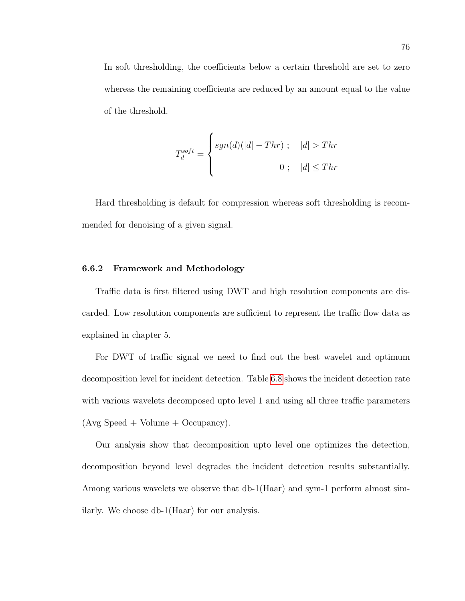In soft thresholding, the coefficients below a certain threshold are set to zero whereas the remaining coefficients are reduced by an amount equal to the value of the threshold.

$$
T_d^{soft} = \begin{cases} sgn(d)(|d| - Thr) \; ; & |d| > Thr \\ 0 \; ; & |d| \leq Thr \end{cases}
$$

Hard thresholding is default for compression whereas soft thresholding is recommended for denoising of a given signal.

### 6.6.2 Framework and Methodology

Traffic data is first filtered using DWT and high resolution components are discarded. Low resolution components are sufficient to represent the traffic flow data as explained in chapter 5.

For DWT of traffic signal we need to find out the best wavelet and optimum decomposition level for incident detection. Table [6.8](#page-88-0) shows the incident detection rate with various wavelets decomposed upto level 1 and using all three traffic parameters  $(Avg Speed + Volume + Occupancy).$ 

Our analysis show that decomposition upto level one optimizes the detection, decomposition beyond level degrades the incident detection results substantially. Among various wavelets we observe that db-1(Haar) and sym-1 perform almost similarly. We choose db-1(Haar) for our analysis.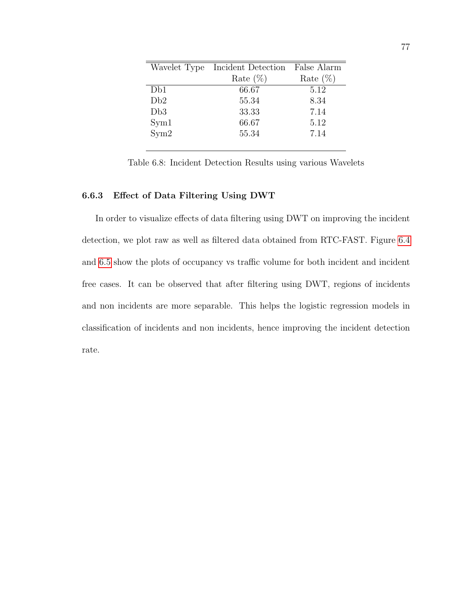| Wavelet Type | Incident Detection | False Alarm |
|--------------|--------------------|-------------|
|              | Rate $(\%)$        | Rate $(\%)$ |
| Db1          | 66.67              | 5.12        |
| Db2          | 55.34              | 8.34        |
| Db3          | 33.33              | 7.14        |
| Sym1         | 66.67              | 5.12        |
| Sym2         | 55.34              | 7.14        |
|              |                    |             |

<span id="page-88-0"></span>Table 6.8: Incident Detection Results using various Wavelets

# 6.6.3 Effect of Data Filtering Using DWT

In order to visualize effects of data filtering using DWT on improving the incident detection, we plot raw as well as filtered data obtained from RTC-FAST. Figure [6.4](#page-89-0) and [6.5](#page-89-1) show the plots of occupancy vs traffic volume for both incident and incident free cases. It can be observed that after filtering using DWT, regions of incidents and non incidents are more separable. This helps the logistic regression models in classification of incidents and non incidents, hence improving the incident detection rate.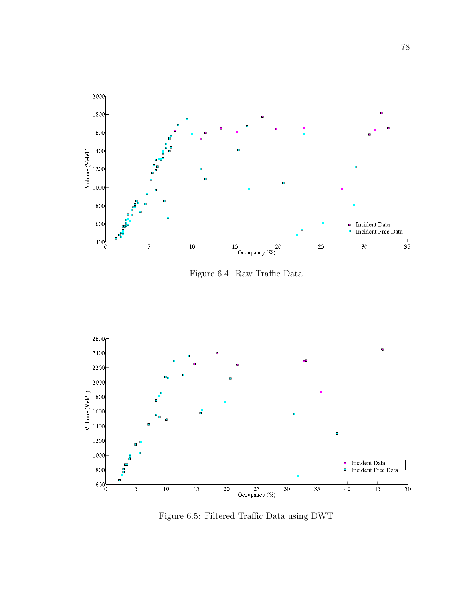

<span id="page-89-0"></span>Figure 6.4: Raw Traffic Data



<span id="page-89-1"></span>Figure 6.5: Filtered Traffic Data using DWT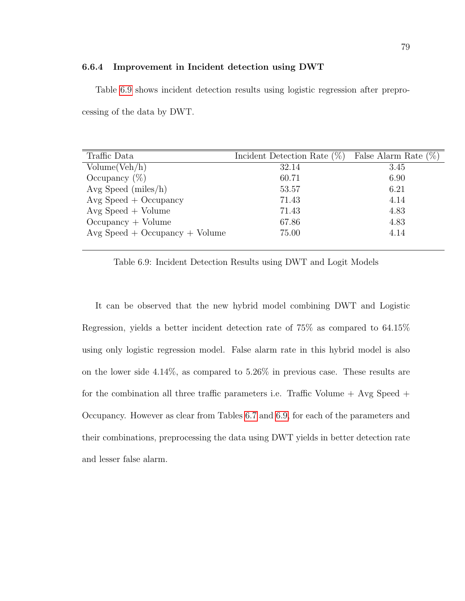#### 6.6.4 Improvement in Incident detection using DWT

Table [6.9](#page-90-0) shows incident detection results using logistic regression after preprocessing of the data by DWT.

| Traffic Data                     | Incident Detection Rate $(\%)$ | False Alarm Rate $(\%)$ |
|----------------------------------|--------------------------------|-------------------------|
| Volume(Veh/h)                    | 32.14                          | 3.45                    |
| Occupancy $(\%)$                 | 60.71                          | 6.90                    |
| Avg Speed (miles/h)              | 53.57                          | 6.21                    |
| $Avg Speed + Occupancy$          | 71.43                          | 4.14                    |
| $Avg Speed + Volume$             | 71.43                          | 4.83                    |
| $Occupancy + Volume$             | 67.86                          | 4.83                    |
| $Avg Speed + Occupancy + Volume$ | 75.00                          | 4.14                    |

<span id="page-90-0"></span>Table 6.9: Incident Detection Results using DWT and Logit Models

It can be observed that the new hybrid model combining DWT and Logistic Regression, yields a better incident detection rate of 75% as compared to 64.15% using only logistic regression model. False alarm rate in this hybrid model is also on the lower side 4.14%, as compared to 5.26% in previous case. These results are for the combination all three traffic parameters i.e. Traffic Volume  $+$  Avg Speed  $+$ Occupancy. However as clear from Tables [6.7](#page-84-0) and [6.9,](#page-90-0) for each of the parameters and their combinations, preprocessing the data using DWT yields in better detection rate and lesser false alarm.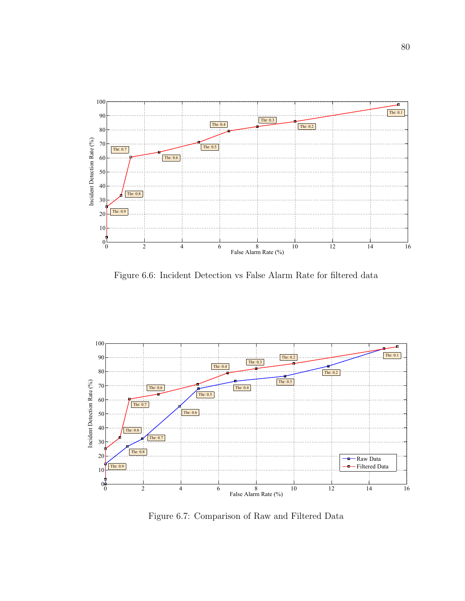

Figure 6.6: Incident Detection vs False Alarm Rate for filtered data



Figure 6.7: Comparison of Raw and Filtered Data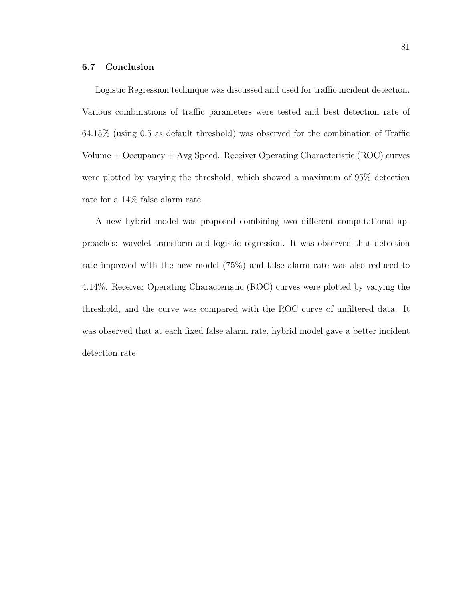# 6.7 Conclusion

Logistic Regression technique was discussed and used for traffic incident detection. Various combinations of traffic parameters were tested and best detection rate of 64.15% (using 0.5 as default threshold) was observed for the combination of Traffic Volume + Occupancy + Avg Speed. Receiver Operating Characteristic (ROC) curves were plotted by varying the threshold, which showed a maximum of 95% detection rate for a 14% false alarm rate.

A new hybrid model was proposed combining two different computational approaches: wavelet transform and logistic regression. It was observed that detection rate improved with the new model (75%) and false alarm rate was also reduced to 4.14%. Receiver Operating Characteristic (ROC) curves were plotted by varying the threshold, and the curve was compared with the ROC curve of unfiltered data. It was observed that at each fixed false alarm rate, hybrid model gave a better incident detection rate.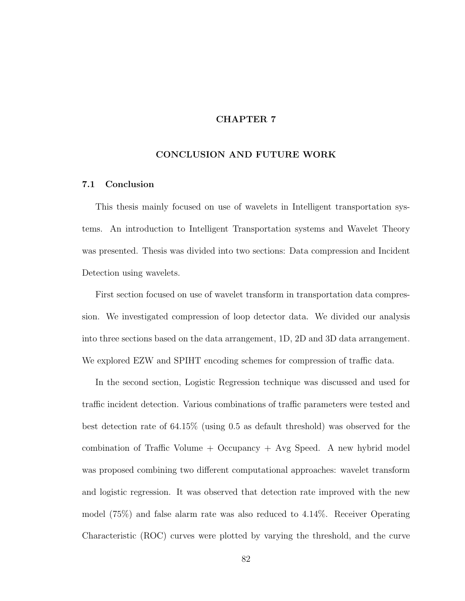# CHAPTER 7

# CONCLUSION AND FUTURE WORK

### 7.1 Conclusion

This thesis mainly focused on use of wavelets in Intelligent transportation systems. An introduction to Intelligent Transportation systems and Wavelet Theory was presented. Thesis was divided into two sections: Data compression and Incident Detection using wavelets.

First section focused on use of wavelet transform in transportation data compression. We investigated compression of loop detector data. We divided our analysis into three sections based on the data arrangement, 1D, 2D and 3D data arrangement. We explored EZW and SPIHT encoding schemes for compression of traffic data.

In the second section, Logistic Regression technique was discussed and used for traffic incident detection. Various combinations of traffic parameters were tested and best detection rate of 64.15% (using 0.5 as default threshold) was observed for the combination of Traffic Volume + Occupancy + Avg Speed. A new hybrid model was proposed combining two different computational approaches: wavelet transform and logistic regression. It was observed that detection rate improved with the new model (75%) and false alarm rate was also reduced to 4.14%. Receiver Operating Characteristic (ROC) curves were plotted by varying the threshold, and the curve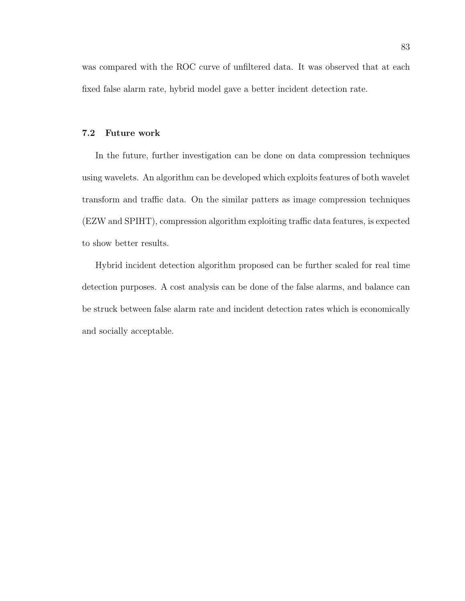was compared with the ROC curve of unfiltered data. It was observed that at each fixed false alarm rate, hybrid model gave a better incident detection rate.

# 7.2 Future work

In the future, further investigation can be done on data compression techniques using wavelets. An algorithm can be developed which exploits features of both wavelet transform and traffic data. On the similar patters as image compression techniques (EZW and SPIHT), compression algorithm exploiting traffic data features, is expected to show better results.

Hybrid incident detection algorithm proposed can be further scaled for real time detection purposes. A cost analysis can be done of the false alarms, and balance can be struck between false alarm rate and incident detection rates which is economically and socially acceptable.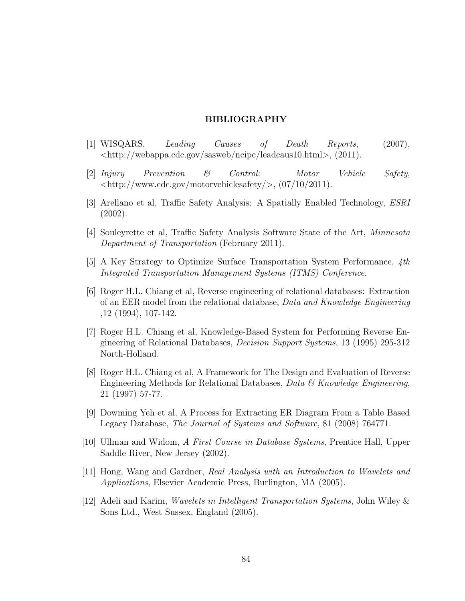### BIBLIOGRAPHY

- [1] WISQARS, Leading Causes of Death Reports, (2007), <http://webappa.cdc.gov/sasweb/ncipc/leadcaus10.html>, (2011).
- [2] Injury Prevention & Control: Motor Vehicle Safety,  $\langle \text{http://www.cdc.gov/motorvehiclesafety/}, (07/10/2011).$
- [3] Arellano et al, Traffic Safety Analysis: A Spatially Enabled Technology, ESRI (2002).
- [4] Souleyrette et al, Traffic Safety Analysis Software State of the Art, Minnesota Department of Transportation (February 2011).
- [5] A Key Strategy to Optimize Surface Transportation System Performance, 4th Integrated Transportation Management Systems (ITMS) Conference.
- [6] Roger H.L. Chiang et al, Reverse engineering of relational databases: Extraction of an EER model from the relational database, Data and Knowledge Engineering ,12 (1994), 107-142.
- [7] Roger H.L. Chiang et al, Knowledge-Based System for Performing Reverse Engineering of Relational Databases, Decision Support Systems, 13 (1995) 295-312 North-Holland.
- [8] Roger H.L. Chiang et al, A Framework for The Design and Evaluation of Reverse Engineering Methods for Relational Databases, Data & Knowledge Engineering, 21 (1997) 57-77.
- [9] Dowming Yeh et al, A Process for Extracting ER Diagram From a Table Based Legacy Database, The Journal of Systems and Software, 81 (2008) 764771.
- [10] Ullman and Widom, A First Course in Database Systems, Prentice Hall, Upper Saddle River, New Jersey (2002).
- [11] Hong, Wang and Gardner, Real Analysis with an Introduction to Wavelets and Applications, Elsevier Academic Press, Burlington, MA (2005).
- [12] Adeli and Karim, Wavelets in Intelligent Transportation Systems, John Wiley & Sons Ltd., West Sussex, England (2005).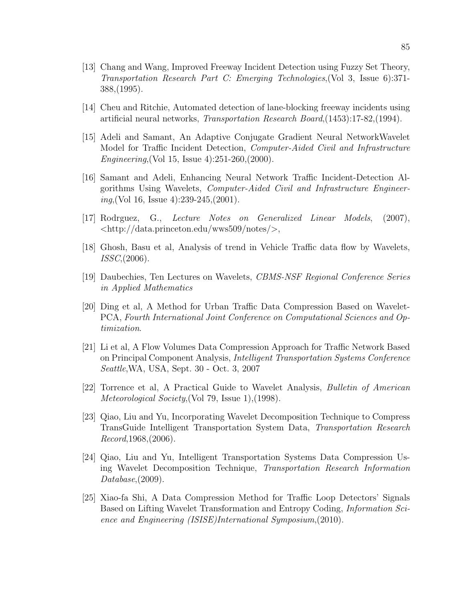- [13] Chang and Wang, Improved Freeway Incident Detection using Fuzzy Set Theory, Transportation Research Part C: Emerging Technologies,(Vol 3, Issue 6):371- 388,(1995).
- [14] Cheu and Ritchie, Automated detection of lane-blocking freeway incidents using artificial neural networks, Transportation Research Board,(1453):17-82,(1994).
- [15] Adeli and Samant, An Adaptive Conjugate Gradient Neural NetworkWavelet Model for Traffic Incident Detection, Computer-Aided Civil and Infrastructure Engineering,(Vol 15, Issue 4):251-260,(2000).
- [16] Samant and Adeli, Enhancing Neural Network Traffic Incident-Detection Algorithms Using Wavelets, Computer-Aided Civil and Infrastructure Engineering, (Vol 16, Issue 4):  $239-245$ ,  $(2001)$ .
- [17] Rodrguez, G., Lecture Notes on Generalized Linear Models, (2007),  $\langle \text{http://data.princeton.edu/wws509/notes/},$
- [18] Ghosh, Basu et al, Analysis of trend in Vehicle Traffic data flow by Wavelets, ISSC,(2006).
- [19] Daubechies, Ten Lectures on Wavelets, CBMS-NSF Regional Conference Series in Applied Mathematics
- [20] Ding et al, A Method for Urban Traffic Data Compression Based on Wavelet-PCA, Fourth International Joint Conference on Computational Sciences and Optimization.
- [21] Li et al, A Flow Volumes Data Compression Approach for Traffic Network Based on Principal Component Analysis, Intelligent Transportation Systems Conference Seattle,WA, USA, Sept. 30 - Oct. 3, 2007
- [22] Torrence et al, A Practical Guide to Wavelet Analysis, Bulletin of American Meteorological Society,(Vol 79, Issue 1),(1998).
- [23] Qiao, Liu and Yu, Incorporating Wavelet Decomposition Technique to Compress TransGuide Intelligent Transportation System Data, Transportation Research Record,1968,(2006).
- [24] Qiao, Liu and Yu, Intelligent Transportation Systems Data Compression Using Wavelet Decomposition Technique, Transportation Research Information Database, (2009).
- [25] Xiao-fa Shi, A Data Compression Method for Traffic Loop Detectors' Signals Based on Lifting Wavelet Transformation and Entropy Coding, *Information Sci*ence and Engineering (ISISE)International Symposium,(2010).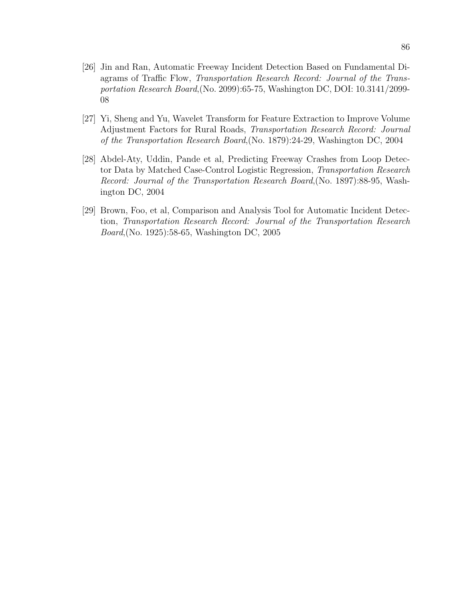- [26] Jin and Ran, Automatic Freeway Incident Detection Based on Fundamental Diagrams of Traffic Flow, Transportation Research Record: Journal of the Transportation Research Board,(No. 2099):65-75, Washington DC, DOI: 10.3141/2099- 08
- [27] Yi, Sheng and Yu, Wavelet Transform for Feature Extraction to Improve Volume Adjustment Factors for Rural Roads, Transportation Research Record: Journal of the Transportation Research Board,(No. 1879):24-29, Washington DC, 2004
- [28] Abdel-Aty, Uddin, Pande et al, Predicting Freeway Crashes from Loop Detector Data by Matched Case-Control Logistic Regression, Transportation Research Record: Journal of the Transportation Research Board,(No. 1897):88-95, Washington DC, 2004
- [29] Brown, Foo, et al, Comparison and Analysis Tool for Automatic Incident Detection, Transportation Research Record: Journal of the Transportation Research Board,(No. 1925):58-65, Washington DC, 2005